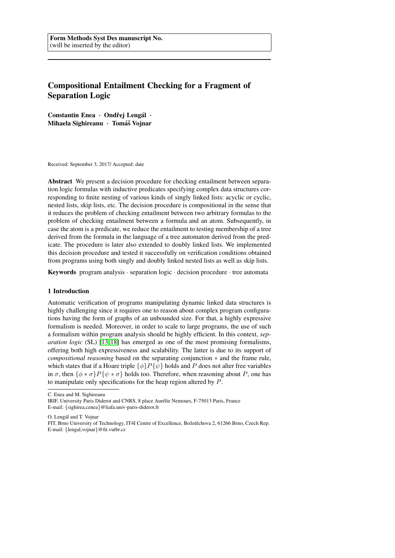# Compositional Entailment Checking for a Fragment of Separation Logic

Constantin Enea · Ondřei Lengál · Mihaela Sighireanu · Tomáš Vojnar

Received: September 3, 2017/ Accepted: date

Abstract We present a decision procedure for checking entailment between separation logic formulas with inductive predicates specifying complex data structures corresponding to finite nesting of various kinds of singly linked lists: acyclic or cyclic, nested lists, skip lists, etc. The decision procedure is compositional in the sense that it reduces the problem of checking entailment between two arbitrary formulas to the problem of checking entailment between a formula and an atom. Subsequently, in case the atom is a predicate, we reduce the entailment to testing membership of a tree derived from the formula in the language of a tree automaton derived from the predicate. The procedure is later also extended to doubly linked lists. We implemented this decision procedure and tested it successfully on verification conditions obtained from programs using both singly and doubly linked nested lists as well as skip lists.

**Keywords** program analysis  $\cdot$  separation logic  $\cdot$  decision procedure  $\cdot$  tree automata

#### 1 Introduction

Automatic verification of programs manipulating dynamic linked data structures is highly challenging since it requires one to reason about complex program configurations having the form of graphs of an unbounded size. For that, a highly expressive formalism is needed. Moreover, in order to scale to large programs, the use of such a formalism within program analysis should be highly efficient. In this context, *separation logic* (SL) [\[13,](#page-31-0) [18\]](#page-31-1) has emerged as one of the most promising formalisms, offering both high expressiveness and scalability. The latter is due to its support of *compositional reasoning* based on the separating conjunction ∗ and the frame rule, which states that if a Hoare triple  $\{\phi\}P\{\psi\}$  holds and P does not alter free variables in  $\sigma$ , then  $\{\phi * \sigma\}P\{\psi * \sigma\}$  holds too. Therefore, when reasoning about P, one has to manipulate only specifications for the heap region altered by P.

C. Enea and M. Sighireanu

IRIF, University Paris Diderot and CNRS, 8 place Aurelie Nemours, F-75013 Paris, France ´

E-mail: {sighirea,cenea}@liafa.univ-paris-diderot.fr

O. Lengal and T. Vojnar ´

FIT, Brno University of Technology, IT4I Centre of Excellence, Božetěchova 2, 61266 Brno, Czech Rep. E-mail: {lengal,vojnar}@fit.vutbr.cz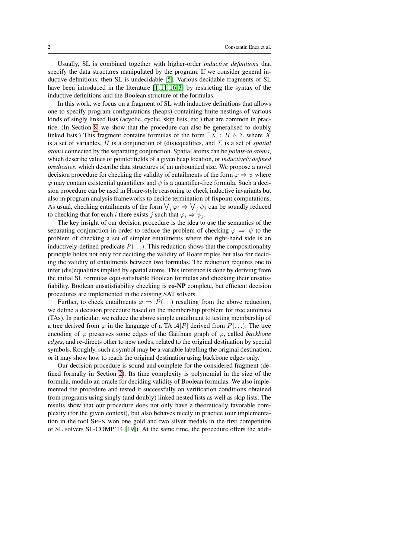Usually, SL is combined together with higher-order *inductive definitions* that specify the data structures manipulated by the program. If we consider general inductive definitions, then SL is undecidable [\[5\]](#page-31-2). Various decidable fragments of SL have been introduced in the literature  $[1, 11, 16, 3]$  $[1, 11, 16, 3]$  $[1, 11, 16, 3]$  $[1, 11, 16, 3]$  by restricting the syntax of the inductive definitions and the Boolean structure of the formulas.

In this work, we focus on a fragment of SL with inductive definitions that allows one to specify program configurations (heaps) containing finite nestings of various kinds of singly linked lists (acyclic, cyclic, skip lists, etc.) that are common in practice. (In Section [8,](#page-26-0) we show that the procedure can also be generalised to doubly ince. (in section 8, we show that the procedure can also be generalised to doubly linked lists.) This fragment contains formulas of the form  $\exists \overline{X} : \Pi \wedge \Sigma$  where  $\overline{X}$ is a set of variables,  $\Pi$  is a conjunction of (dis)equalities, and  $\Sigma$  is a set of *spatial atoms* connected by the separating conjunction. Spatial atoms can be *points-to atoms*, which describe values of pointer fields of a given heap location, or *inductively defined predicates*, which describe data structures of an unbounded size. We propose a novel decision procedure for checking the validity of entailments of the form  $\varphi \Rightarrow \psi$  where  $\varphi$  may contain existential quantifiers and  $\psi$  is a quantifier-free formula. Such a decision procedure can be used in Hoare-style reasoning to check inductive invariants but also in program analysis frameworks to decide termination of fixpoint computations. As usual, checking entailments of the form  $\bigvee_i \varphi_i \Rightarrow \bigvee_j \psi_j$  can be soundly reduced to checking that for each i there exists j such that  $\varphi_i \Rightarrow \psi_i$ .

The key insight of our decision procedure is the idea to use the semantics of the separating conjunction in order to reduce the problem of checking  $\varphi \Rightarrow \psi$  to the problem of checking a set of simpler entailments where the right-hand side is an inductively-defined predicate  $P(\ldots)$ . This reduction shows that the compositionality principle holds not only for deciding the validity of Hoare triples but also for deciding the validity of entailments between two formulas. The reduction requires one to infer (dis)equalities implied by spatial atoms. This inference is done by deriving from the initial SL formulas equi-satisfiable Boolean formulas and checking their unsatisfiability. Boolean unsatisfiability checking is co-NP complete, but efficient decision procedures are implemented in the existing SAT solvers.

Further, to check entailments  $\varphi \Rightarrow P(\ldots)$  resulting from the above reduction, we define a decision procedure based on the membership problem for tree automata (TAs). In particular, we reduce the above simple entailment to testing membership of a tree derived from  $\varphi$  in the language of a TA  $\mathcal{A}[P]$  derived from  $P(\ldots)$ . The tree encoding of  $\varphi$  preserves some edges of the Gaifman graph of  $\varphi$ , called *backbone edges*, and re-directs other to new nodes, related to the original destination by special symbols. Roughly, such a symbol may be a variable labelling the original destination, or it may show how to reach the original destination using backbone edges only.

Our decision procedure is sound and complete for the considered fragment (defined formally in Section [2\)](#page-3-0). Its time complexity is polynomial in the size of the formula, modulo an oracle for deciding validity of Boolean formulas. We also implemented the procedure and tested it successfully on verification conditions obtained from programs using singly (and doubly) linked nested lists as well as skip lists. The results show that our procedure does not only have a theoretically favorable complexity (for the given context), but also behaves nicely in practice (our implementation in the tool SPEN won one gold and two silver medals in the first competition of SL solvers SL-COMP'14 [\[19\]](#page-31-7)). At the same time, the procedure offers the addi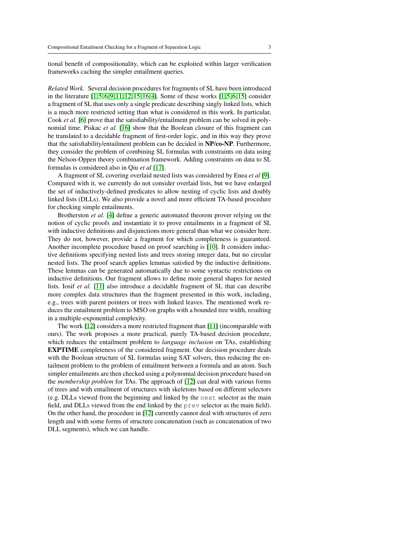tional benefit of compositionality, which can be exploited within larger verification frameworks caching the simpler entailment queries.

*Related Work.* Several decision procedures for fragments of SL have been introduced in the literature  $[1, 5, 6, 9, 11, 12, 15, 16, 4]$  $[1, 5, 6, 9, 11, 12, 15, 16, 4]$  $[1, 5, 6, 9, 11, 12, 15, 16, 4]$  $[1, 5, 6, 9, 11, 12, 15, 16, 4]$  $[1, 5, 6, 9, 11, 12, 15, 16, 4]$  $[1, 5, 6, 9, 11, 12, 15, 16, 4]$  $[1, 5, 6, 9, 11, 12, 15, 16, 4]$  $[1, 5, 6, 9, 11, 12, 15, 16, 4]$  $[1, 5, 6, 9, 11, 12, 15, 16, 4]$ . Some of these works  $[1, 5, 6, 15]$  $[1, 5, 6, 15]$  consider a fragment of SL that uses only a single predicate describing singly linked lists, which is a much more restricted setting than what is considered in this work. In particular, Cook *et al.* [\[6\]](#page-31-8) prove that the satisfiability/entailment problem can be solved in polynomial time. Piskac *et al.* [\[16\]](#page-31-5) show that the Boolean closure of this fragment can be translated to a decidable fragment of first-order logic, and in this way they prove that the satisfiability/entailment problem can be decided in NP/co-NP. Furthermore, they consider the problem of combining SL formulas with constraints on data using the Nelson-Oppen theory combination framework. Adding constraints on data to SL formulas is considered also in Qiu *et al* [\[17\]](#page-31-13).

A fragment of SL covering overlaid nested lists was considered by Enea *et al* [\[9\]](#page-31-9). Compared with it, we currently do not consider overlaid lists, but we have enlarged the set of inductively-defined predicates to allow nesting of cyclic lists and doubly linked lists (DLLs). We also provide a novel and more efficient TA-based procedure for checking simple entailments.

Brotherston *et al.* [\[4\]](#page-31-12) define a generic automated theorem prover relying on the notion of cyclic proofs and instantiate it to prove entailments in a fragment of SL with inductive definitions and disjunctions more general than what we consider here. They do not, however, provide a fragment for which completeness is guaranteed. Another incomplete procedure based on proof searching is [\[10\]](#page-31-14). It considers inductive definitions specifying nested lists and trees storing integer data, but no circular nested lists. The proof search applies lemmas satisfied by the inductive definitions. These lemmas can be generated automatically due to some syntactic restrictions on inductive definitions. Our fragment allows to define more general shapes for nested lists. Iosif *et al.* [\[11\]](#page-31-4) also introduce a decidable fragment of SL that can describe more complex data structures than the fragment presented in this work, including, e.g., trees with parent pointers or trees with linked leaves. The mentioned work reduces the entailment problem to MSO on graphs with a bounded tree width, resulting in a multiple-exponential complexity.

The work [\[12\]](#page-31-10) considers a more restricted fragment than [\[11\]](#page-31-4) (incomparable with ours). The work proposes a more practical, purely TA-based decision procedure, which reduces the entailment problem to *language inclusion* on TAs, establishing EXPTIME completeness of the considered fragment. Our decision procedure deals with the Boolean structure of SL formulas using SAT solvers, thus reducing the entailment problem to the problem of entailment between a formula and an atom. Such simpler entailments are then checked using a polynomial decision procedure based on the *membership problem* for TAs. The approach of [\[12\]](#page-31-10) can deal with various forms of trees and with entailment of structures with skeletons based on different selectors (e.g. DLLs viewed from the beginning and linked by the next selector as the main field, and DLLs viewed from the end linked by the prev selector as the main field). On the other hand, the procedure in [\[12\]](#page-31-10) currently cannot deal with structures of zero length and with some forms of structure concatenation (such as concatenation of two DLL segments), which we can handle.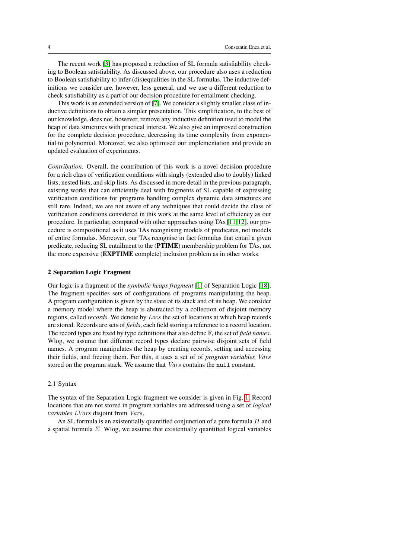The recent work [\[3\]](#page-31-6) has proposed a reduction of SL formula satisfiability checking to Boolean satisfiability. As discussed above, our procedure also uses a reduction to Boolean satisfiability to infer (dis)equalities in the SL formulas. The inductive definitions we consider are, however, less general, and we use a different reduction to check satisfiability as a part of our decision procedure for entailment checking.

This work is an extended version of [\[7\]](#page-31-15). We consider a slightly smaller class of inductive definitions to obtain a simpler presentation. This simplification, to the best of our knowledge, does not, however, remove any inductive definition used to model the heap of data structures with practical interest. We also give an improved construction for the complete decision procedure, decreasing its time complexity from exponential to polynomial. Moreover, we also optimised our implementation and provide an updated evaluation of experiments.

*Contribution.* Overall, the contribution of this work is a novel decision procedure for a rich class of verification conditions with singly (extended also to doubly) linked lists, nested lists, and skip lists. As discussed in more detail in the previous paragraph, existing works that can efficiently deal with fragments of SL capable of expressing verification conditions for programs handling complex dynamic data structures are still rare. Indeed, we are not aware of any techniques that could decide the class of verification conditions considered in this work at the same level of efficiency as our procedure. In particular, compared with other approaches using TAs [\[11,](#page-31-4) [12\]](#page-31-10), our procedure is compositional as it uses TAs recognising models of predicates, not models of entire formulas. Moreover, our TAs recognise in fact formulas that entail a given predicate, reducing SL entailment to the (PTIME) membership problem for TAs, not the more expensive (EXPTIME complete) inclusion problem as in other works.

#### <span id="page-3-0"></span>2 Separation Logic Fragment

Our logic is a fragment of the *symbolic heaps fragment* [\[1\]](#page-31-3) of Separation Logic [\[18\]](#page-31-1). The fragment specifies sets of configurations of programs manipulating the heap. A program configuration is given by the state of its stack and of its heap. We consider a memory model where the heap is abstracted by a collection of disjoint memory regions, called *records*. We denote by Locs the set of locations at which heap records are stored. Records are sets of *fields*, each field storing a reference to a record location. The record types are fixed by type definitions that also define F, the set of *field names*. Wlog, we assume that different record types declare pairwise disjoint sets of field names. A program manipulates the heap by creating records, setting and accessing their fields, and freeing them. For this, it uses a set of of *program variables* Vars stored on the program stack. We assume that Vars contains the null constant.

#### 2.1 Syntax

The syntax of the Separation Logic fragment we consider is given in Fig. [1.](#page-4-0) Record locations that are not stored in program variables are addressed using a set of *logical variables* LVars disjoint from Vars.

An SL formula is an existentially quantified conjunction of a pure formula  $\Pi$  and a spatial formula  $\Sigma$ . Wlog, we assume that existentially quantified logical variables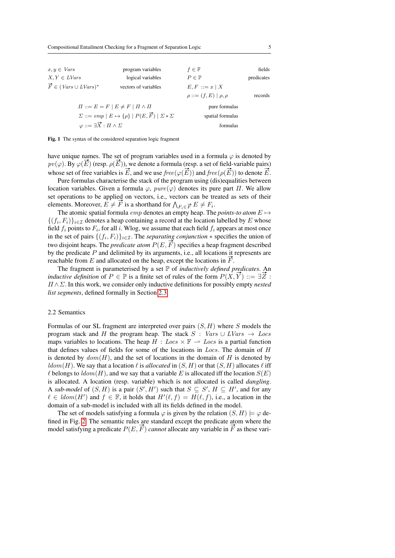| $x, y \in Vars$                                                                  | program variables    | $f\in\mathbb{F}$               | fields     |
|----------------------------------------------------------------------------------|----------------------|--------------------------------|------------|
| $X, Y \in LVars$                                                                 | logical variables    | $P \in \mathbb{P}$             | predicates |
| $\vec{F} \in (Vars \cup LVars)^*$                                                | vectors of variables | $E, F ::= x \mid X$            |            |
|                                                                                  |                      | $\rho ::= (f, E)   \rho, \rho$ | records    |
| $\Pi ::= E = F \mid E \neq F \mid \Pi \wedge \Pi$                                |                      | pure formulas                  |            |
| $\Sigma ::= emp \mid E \mapsto \{\rho\} \mid P(E, \vec{F}) \mid \Sigma * \Sigma$ |                      | spatial formulas               |            |
| $\varphi ::= \exists \vec{X} : \Pi \wedge \Sigma$                                |                      | formulas                       |            |

<span id="page-4-0"></span>Fig. 1 The syntax of the considered separation logic fragment

have unique names. The set of program variables used in a formula  $\varphi$  is denoted by have unique names. The set of program variables used in a formula  $\varphi$  is denoted by  $pv(\varphi)$ . By  $\varphi(\vec{E})$  (resp.  $\rho(\vec{E})$ ), we denote a formula (resp. a set of field-variable pairs)  $p(v(\varphi), \text{ by } \varphi(E)$  (resp.  $p(E)$ ), we denote a formula (resp. a set of held-variable pairs)<br>whose set of free variables is  $\vec{E}$ , and we use  $free(\varphi(\vec{E}))$  and  $free(\rho(\vec{E}))$  to denote  $\vec{E}$ .

Pure formulas characterise the stack of the program using (dis)equalities between location variables. Given a formula  $\varphi$ ,  $pure(\varphi)$  denotes its pure part  $\Pi$ . We allow set operations to be applied on vectors, i.e., vectors can be treated as sets of their set operations to be applied on vectors, i.e., vectors can be trained to  $\bigwedge_{F_i \in \vec{F}} E \neq F_i$ .

The atomic spatial formula  $emp$  denotes an empty heap. The *points-to atom*  $E \mapsto$  $\{(f_i, F_i)\}_{i \in \mathcal{I}}$  denotes a heap containing a record at the location labelled by E whose field  $f_i$  points to  $F_i$ , for all i. Wlog, we assume that each field  $f_i$  appears at most once in the set of pairs  $\{(f_i, F_i)\}_{i \in \mathcal{I}}$ . The *separating conjunction*  $*$  specifies the union of two disjoint heaps. The *predicate atom*  $P(E, \vec{F})$  specifies a heap fragment described by the predicate P and delimited by its arguments, i.e., all locations it represents are reachable from  $E$  and allocated on the heap, except the locations in  $\overline{F}$ .

The fragment is parameterised by a set P of *inductively defined predicates*. An **i** inductive definition of  $P \in \mathbb{P}$  is a finite set of rules of the form  $P(X, \vec{Y}) ::= \exists \vec{Z}$ : Π ∧Σ. In this work, we consider only inductive definitions for possibly empty *nested list segments*, defined formally in Section [2.3.](#page-5-0)

#### <span id="page-4-1"></span>2.2 Semantics

Formulas of our SL fragment are interpreted over pairs  $(S, H)$  where S models the program stack and H the program heap. The stack S : Vars  $\cup LVars \rightarrow Loss$ maps variables to locations. The heap  $H : Loss \times \mathbb{F} \rightarrow Loss$  is a partial function that defines values of fields for some of the locations in Locs. The domain of H is denoted by  $dom(H)$ , and the set of locations in the domain of H is denoted by  $ldom(H)$ . We say that a location  $\ell$  is *allocated* in  $(S, H)$  or that  $(S, H)$  allocates  $\ell$  iff  $\ell$  belongs to  $ldom(H)$ , and we say that a variable E is allocated iff the location  $S(E)$ is allocated. A location (resp. variable) which is not allocated is called *dangling*. A sub-model of  $(S, H)$  is a pair  $(S', H')$  such that  $S \subseteq S', H \subseteq H'$ , and for any  $\ell \in \text{Idom}(H')$  and  $f \in \mathbb{F}$ , it holds that  $H'(\ell, f) = H(\ell, f)$ , i.e., a location in the domain of a sub-model is included with all its fields defined in the model.

The set of models satisfying a formula  $\varphi$  is given by the relation  $(S, H) \models \varphi$  defined in Fig. [2.](#page-5-1) The semantic rules are standard except the predicate atom where the model satisfying a predicate  $P(E, \vec{F})$  *cannot* allocate any variable in  $\vec{F}$  as these vari-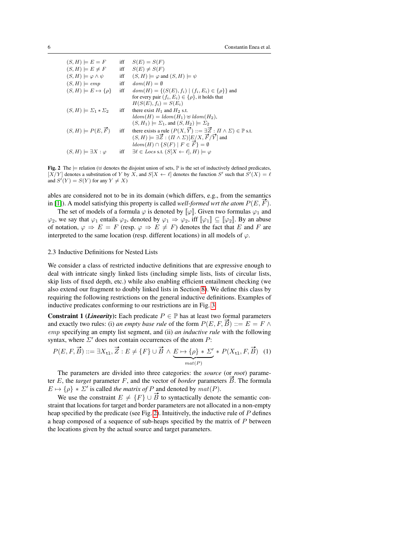| $(S, H) \models E = F$               | iff | $S(E) = S(F)$                                                                                     |
|--------------------------------------|-----|---------------------------------------------------------------------------------------------------|
| $(S, H) \models E \neq F$            | iff | $S(E) \neq S(F)$                                                                                  |
| $(S, H) \models \varphi \land \psi$  | iff | $(S, H) \models \varphi$ and $(S, H) \models \psi$                                                |
| $(S, H) \models emp$                 | iff | $dom(H) = \emptyset$                                                                              |
| $(S, H) \models E \mapsto {\rho}$    | iff | $dom(H) = \{(S(E), f_i)   (f_i, E_i) \in \{\rho\}\}\$ and                                         |
|                                      |     | for every pair $(f_i, E_i) \in {\rho}$ , it holds that                                            |
|                                      |     | $H(S(E), f_i) = S(E_i)$                                                                           |
| $(S, H) \models \Sigma_1 * \Sigma_2$ | iff | there exist $H_1$ and $H_2$ s.t.                                                                  |
|                                      |     | $ldom(H) = Idom(H_1) \oplus Idom(H_2),$                                                           |
|                                      |     | $(S, H_1) \models \Sigma_1$ , and $(S, H_2) \models \Sigma_2$                                     |
| $(S, H) \models P(E, \vec{F})$       | iff | there exists a rule $(P(X, \vec{Y}) ::= \exists \vec{Z} : \Pi \wedge \Sigma) \in \mathbb{P}$ s.t. |
|                                      |     | $(S, H) \models \exists \vec{Z} : (\Pi \wedge \Sigma)[E/X, \vec{F}/\vec{Y}]$ and                  |
|                                      |     | $ldom(H) \cap \{S(F) \mid F \in \hat{F}\} = \emptyset$                                            |
| $(S, H) \models \exists X : \varphi$ | iff | $\exists \ell \in \text{Locs}$ s.t. $(S[X \leftarrow \ell], H) \models \varphi$                   |

<span id="page-5-1"></span>Fig. 2 The  $\models$  relation ( $\uplus$  denotes the disjoint union of sets,  $\mathbb P$  is the set of inductively defined predicates,  $[X/Y]$  denotes a substitution of Y by X, and  $S[X \leftarrow \ell]$  denotes the function S' such that  $S'(X) = \ell$ and  $S'(Y) = S(Y)$  for any  $Y \neq X$ )

ables are considered not to be in its domain (which differs, e.g., from the semantics in [\[1\]](#page-31-3)). A model satisfying this property is called *well-formed wrt the atom*  $P(E, \vec{F})$ .

The set of models of a formula  $\varphi$  is denoted by  $\llbracket \varphi \rrbracket$ . Given two formulas  $\varphi_1$  and  $\varphi_2$ , we say that  $\varphi_1$  entails  $\varphi_2$ , denoted by  $\varphi_1 \Rightarrow \varphi_2$ , iff  $[\varphi_1] \subseteq [\varphi_2]$ . By an abuse of notation,  $\varphi \Rightarrow E = F$  (resp.  $\varphi \Rightarrow E \neq F$ ) denotes the fact that E and F are interpreted to the same location (resp. different locations) in all models of  $\varphi$ .

#### <span id="page-5-0"></span>2.3 Inductive Definitions for Nested Lists

We consider a class of restricted inductive definitions that are expressive enough to deal with intricate singly linked lists (including simple lists, lists of circular lists, skip lists of fixed depth, etc.) while also enabling efficient entailment checking (we also extend our fragment to doubly linked lists in Section [8\)](#page-26-0). We define this class by requiring the following restrictions on the general inductive definitions. Examples of inductive predicates conforming to our restrictions are in Fig. [3.](#page-6-0)

**Constraint 1 (***Linearity*): Each predicate  $P \in \mathbb{P}$  has at least two formal parameters and exactly two rules: (i) *an empty base rule* of the form  $P(E, F, B) ::= E = F \wedge$ emp specifying an empty list segment, and (ii) *an inductive rule* with the following syntax, where  $\Sigma'$  does not contain occurrences of the atom  $P$ :

<span id="page-5-2"></span>
$$
P(E, F, \vec{B}) ::= \exists X_{\mathtt{tl}}, \vec{Z} : E \neq \{F\} \cup \vec{B} \land \underbrace{E \mapsto \{\rho\} * \Sigma'}_{mat(P)} * P(X_{\mathtt{tl}}, F, \vec{B}) \tag{1}
$$

The parameters are divided into three categories: the *source* (or *root*) parame-The parameters are divided into three categories: the *source* (or *root*) parameter  $E$ , the *target* parameter  $F$ , and the vector of *border* parameters  $\vec{B}$ . The formula  $E \mapsto {\rho} * \Sigma'$  is called *the matrix of* P and denoted by  $mat(P)$ .

We use the constraint  $E \neq \{F\} \cup \vec{B}$  to syntactically denote the semantic constraint that locations for target and border parameters are not allocated in a non-empty heap specified by the predicate (see Fig. [2\)](#page-5-1). Intuitively, the inductive rule of P defines a heap composed of a sequence of sub-heaps specified by the matrix of  $P$  between the locations given by the actual source and target parameters.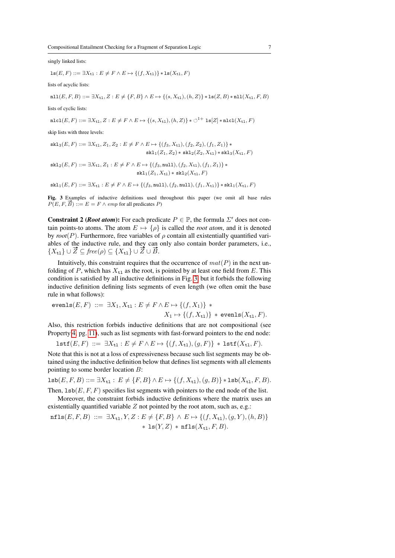singly linked lists:

$$
\text{ls}(E, F) ::= \exists X_{\text{tl}} : E \neq F \land E \mapsto \{(f, X_{\text{tl}})\} * \text{ls}(X_{\text{tl}}, F)
$$

lists of acyclic lists:

 $\texttt{nil}(E, F, B) ::= \exists X_{t1}, Z : E \neq \{F, B\} \land E \mapsto \{(s, X_{t1}), (h, Z)\} * \texttt{ls}(Z, B) * \texttt{nil}(X_{t1}, F, B)$ 

lists of cyclic lists:

$$
\mathtt{nlcl}(E,F) ::= \exists X_{\mathtt{tl}}, Z : E \neq F \land E \mapsto \{(s,X_{\mathtt{tl}}), (h,Z)\} * \circlearrowleft^{1+} \mathtt{ls}[Z] * \mathtt{nlcl}(X_{\mathtt{tl}}, F)
$$

skip lists with three levels:

$$
\begin{aligned} \mathsf{skl}_3(E, F) ::= \exists X_{\mathsf{t}1}, Z_1, Z_2 : E \neq F \land E \mapsto \{ (f_3, X_{\mathsf{t}1}), (f_2, Z_2), (f_1, Z_1) \} * \\ \mathsf{skl}_1(Z_1, Z_2) * \mathsf{skl}_2(Z_2, X_{\mathsf{t}1}) * \mathsf{skl}_3(X_{\mathsf{t}1}, F) \end{aligned}
$$

$$
\begin{aligned} \mathtt{skl}_2(E,F) ::= \exists X_{\mathtt{tl}}, Z_1 : E \neq F \land E \mapsto \{(f_3,\mathtt{null}), (f_2,X_{\mathtt{tl}}), (f_1,Z_1)\} \ast \\ \mathtt{skl}_1(Z_1,X_{\mathtt{tl}}) \ast \mathtt{skl}_2(X_{\mathtt{tl}},F) \end{aligned}
$$

 $\mathtt{skl}_1(E,F) ::= \exists X_{\mathtt{tl}} : E \neq F \land E \mapsto \{(f_3,\mathtt{null}),(f_2,\mathtt{null}),(f_1,X_{\mathtt{tl}})\} * \mathtt{skl}_1(X_{\mathtt{tl}},F)$ 

<span id="page-6-0"></span>Fig. 3 Examples of inductive definitions used throughout this paper (we omit all base rules  $P(E, F, \overrightarrow{B}) ::= E = F \wedge emp$  for all predicates P)

**Constraint 2 (***Root atom***):** For each predicate  $P \in \mathbb{P}$ , the formula  $\Sigma'$  does not contain points-to atoms. The atom  $E \mapsto {\rho}$  is called the *root atom*, and it is denoted by  $root(P)$ . Furthermore, free variables of  $\rho$  contain all existentially quantified variables of the inductive rule, and they can only also contain border parameters, i.e., ables of the inductive rule, and they can<br> $\{X_{t1}\} \cup \vec{Z} \subseteq \text{free}(\rho) \subseteq \{X_{t1}\} \cup \vec{Z} \cup \vec{B}$ .

Intuitively, this constraint requires that the occurrence of  $mat(P)$  in the next unfolding of P, which has  $X_{t_1}$  as the root, is pointed by at least one field from E. This condition is satisfied by all inductive definitions in Fig. [3,](#page-6-0) but it forbids the following inductive definition defining lists segments of even length (we often omit the base rule in what follows):

$$
\text{evenls}(E, F) ::= \exists X_1, X_{\mathtt{tl}} : E \neq F \land E \mapsto \{(f, X_1)\} *X_1 \mapsto \{(f, X_{\mathtt{tl}})\} * \text{evenls}(X_{\mathtt{tl}}, F).
$$

Also, this restriction forbids inductive definitions that are not compositional (see Property [4,](#page-9-0) pg. [11\)](#page-9-0), such as list segments with fast-forward pointers to the end node:

$$
\mathtt{lstf}(E,F) \ ::= \ \exists X_{\mathtt{tl}} : E \neq F \land E \mapsto \{(f,X_{\mathtt{tl}}),(g,F)\} \ast \mathtt{lstf}(X_{\mathtt{tl}},F).
$$

Note that this is not at a loss of expressiveness because such list segments may be obtained using the inductive definition below that defines list segments with all elements pointing to some border location B:

$$
\mathtt{lsb}(E,F,B) ::= \exists X_{\mathtt{tl}} : E \neq \{F,B\} \land E \mapsto \{(f,X_{\mathtt{tl}}), (g,B)\} * \mathtt{lsb}(X_{\mathtt{tl}},F,B).
$$

Then,  $\text{lsb}(E, F, F)$  specifies list segments with pointers to the end node of the list.

Moreover, the constraint forbids inductive definitions where the matrix uses an existentially quantified variable  $Z$  not pointed by the root atom, such as, e.g.:

$$
\begin{aligned} \texttt{nfls}(E, F, B) & ::= \exists X_{\texttt{tl}}, Y, Z : E \neq \{F, B\} \land E \mapsto \{(f, X_{\texttt{tl}}), (g, Y), (h, B)\} \\ & * \texttt{ls}(Y, Z) * \texttt{nfls}(X_{\texttt{tl}}, F, B). \end{aligned}
$$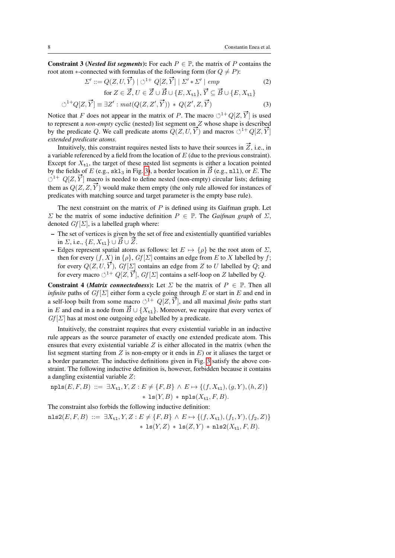**Constraint 3** (*Nested list segments*): For each  $P \in \mathbb{P}$ , the matrix of P contains the root atom ∗-connected with formulas of the following form (for  $Q \neq P$ ):<br>  $\Sigma' ::= Q(Z, U, \vec{Y}) | \circlearrowleft^{1+} Q[Z, \vec{Y}] | \Sigma' * \Sigma' | \text{emp}$ 

<span id="page-7-1"></span><span id="page-7-0"></span>
$$
\Sigma' ::= Q(Z, U, \vec{Y}) \mid \bigcirc^{1+} Q[Z, \vec{Y}] \mid \Sigma' * \Sigma' \mid emp
$$
  
for  $Z \in \vec{Z}, U \in \vec{Z} \cup \vec{B} \cup \{E, X_{t1}\}, \vec{Y} \subseteq \vec{B} \cup \{E, X_{t1}\}$  (2)

$$
\text{for } Z \in Z, U \in Z \cup B \cup \{E, A_{t1}\}, Y \subseteq B \cup \{E, A_{t1}\}
$$

$$
\circlearrowleft^{1+} Q[Z, \vec{Y}] \equiv \exists Z' : mat(Q(Z, Z', \vec{Y})) * Q(Z', Z, \vec{Y}) \tag{3}
$$

Notice that F does not appear in the matrix of P. The macro  $\circlearrowleft^{1+} Q[Z, \overrightarrow{Y}]$  is used to represent a *non-empty* cyclic (nested) list segment on Z whose shape is described by the predicate Q. We call predicate atoms  $Q(Z, U, \vec{Y})$  and macros  $\circlearrowleft^{1+} Q[Z, \vec{Y}]$ *extended predicate atoms*.

Intuitively, this constraint requires nested lists to have their sources in  $Z$ , i.e., in a variable referenced by a field from the location of  $E$  (due to the previous constraint). Except for  $X_{t1}$ , the target of these nested list segments is either a location pointed by the fields of E (e.g.,  $skl_3$  in Fig. [3\)](#page-6-0), a border location in  $\overline{B}$  (e.g., nll), or E. The  $\circlearrowleft^{1+} Q[Z, \overline{Y}]$  macro is needed to define nested (non-empty) circular lists; defining them as  $Q(Z, Z, \overline{Y})$  would make them empty (the only rule allowed for instances of predicates with matching source and target parameter is the empty base rule).

The next constraint on the matrix of  $P$  is defined using its Gaifman graph. Let  $Σ$  be the matrix of some inductive definition  $P ∈ ℝ$ . The *Gaifman graph* of  $Σ$ , denoted  $Gf[\Sigma]$ , is a labelled graph where:

- The set of vertices is given by the set of free and existentially quantified variables in *Σ*, i.e.,  $\{E, X_{t1}\} \cup \overrightarrow{B} \cup \overrightarrow{Z}$ .
- Edges represent spatial atoms as follows: let  $E \mapsto {\rho}$  be the root atom of  $\Sigma$ , then for every  $(f, X)$  in  $\{\rho\}$ ,  $Gf[\Sigma]$  contains an edge from E to X labelled by f; for every  $Q(Z, U, \vec{Y})$ ,  $Gf[\Sigma]$  contains an edge from Z to U labelled by Q; and for every macro  $\circlearrowleft^{1+} Q[Z, \overrightarrow{Y}]$ ,  $Gf[\Sigma]$  contains a self-loop on Z labelled by Q.

**Constraint 4 (***Matrix connectedness*): Let  $\Sigma$  be the matrix of  $P \in \mathbb{P}$ . Then all *infinite* paths of  $Gf[\Sigma]$  either form a cycle going through E or start in E and end in a self-loop built from some macro  $\circlearrowleft^{1+} Q[Z, \overrightarrow{Y}]$ , and all maximal *finite* paths start in E and end in a node from  $\vec{B} \cup \{X_{t_1}\}\$ . Moreover, we require that every vertex of  $Gf[\Sigma]$  has at most one outgoing edge labelled by a predicate.

Intuitively, the constraint requires that every existential variable in an inductive rule appears as the source parameter of exactly one extended predicate atom. This ensures that every existential variable  $Z$  is either allocated in the matrix (when the list segment starting from  $Z$  is non-empty or it ends in  $E$ ) or it aliases the target or a border parameter. The inductive definitions given in Fig. [3](#page-6-0) satisfy the above constraint. The following inductive definition is, however, forbidden because it contains a dangling existential variable Z:

$$
\texttt{npls}(E, F, B) ::= \exists X_{\texttt{tl}}, Y, Z : E \neq \{F, B\} \land E \mapsto \{(f, X_{\texttt{tl}}), (g, Y), (h, Z)\} \\
 * \texttt{ls}(Y, B) * \texttt{npls}(X_{\texttt{tl}}, F, B).
$$

The constraint also forbids the following inductive definition:

 $\texttt{nls2}(E, F, B) ::= \exists X_{t1}, Y, Z : E \neq \{F, B\} \land E \mapsto \{(f, X_{t1}), (f_1, Y), (f_2, Z)\}$ \* ls( $Y, Z$ ) \* ls( $Z, Y$ ) \* nls2( $X_{t1}, F, B$ ).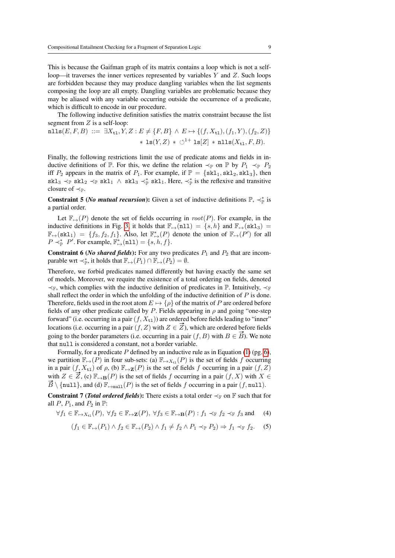This is because the Gaifman graph of its matrix contains a loop which is not a selfloop—it traverses the inner vertices represented by variables Y and Z. Such loops are forbidden because they may produce dangling variables when the list segments composing the loop are all empty. Dangling variables are problematic because they may be aliased with any variable occurring outside the occurrence of a predicate, which is difficult to encode in our procedure.

The following inductive definition satisfies the matrix constraint because the list segment from  $Z$  is a self-loop:

$$
\begin{aligned} \mathtt{nlls}(E, F, B) &::= \exists X_{\mathtt{tl}}, Y, Z : E \neq \{F, B\} \land E \mapsto \{(f, X_{\mathtt{tl}}), (f_1, Y), (f_2, Z)\} \\ &\quad * \mathtt{ls}(Y, Z) * \circlearrowleft^{1+} \mathtt{ls}[Z] * \mathtt{nlls}(X_{\mathtt{tl}}, F, B). \end{aligned}
$$

Finally, the following restrictions limit the use of predicate atoms and fields in inductive definitions of  $\mathbb{P}$ . For this, we define the relation  $\prec_{\mathbb{P}}$  on  $\mathbb{P}$  by  $P_1 \prec_{\mathbb{P}} P_2$ iff  $P_2$  appears in the matrix of  $P_1$ . For example, if  $\mathbb{P} = \{ \text{skl}_1, \text{skl}_2, \text{skl}_3 \}$ , then skl<sub>3</sub>  $\prec_{\mathbb{P}}$  skl<sub>2</sub>  $\prec_{\mathbb{P}}$  skl<sub>1</sub>  $\land$  skl<sub>3</sub>  $\prec_{\mathbb{P}}^*$  skl<sub>1</sub>. Here,  $\prec_{\mathbb{P}}^*$  is the reflexive and transitive closure of  $\prec_{\mathbb{P}}$ .

**Constraint 5** (*No mutual recursion*): Given a set of inductive definitions  $\mathbb{P}, \prec_{\mathbb{P}}^*$  is a partial order.

Let  $\mathbb{F}_{\mapsto}(P)$  denote the set of fields occurring in  $root(P)$ . For example, in the inductive definitions in Fig. [3,](#page-6-0) it holds that  $\mathbb{F}_{\mapsto}(\texttt{nll}) = \{s, h\}$  and  $\mathbb{F}_{\mapsto}(\texttt{skl}_3) =$  $\mathbb{F}_{\mapsto}(\text{skl}_1) = \{f_3, f_2, f_1\}.$  Also, let  $\mathbb{F}_{\mapsto}^*(P)$  denote the union of  $\mathbb{F}_{\mapsto}(P')$  for all  $P \prec_{\mathbb{P}}^* P'.$  For example,  $\mathbb{F}_{\mapsto}^*(\texttt{nll}) = \{s, h, f\}.$ 

**Constraint 6 (***No shared fields***):** For any two predicates  $P_1$  and  $P_2$  that are incomparable wrt  $\prec_{\mathbb{P}}^*$ , it holds that  $\mathbb{F}_{\mapsto}(P_1) \cap \mathbb{F}_{\mapsto}(P_2) = \emptyset$ .

Therefore, we forbid predicates named differently but having exactly the same set of models. Moreover, we require the existence of a total ordering on fields, denoted  $\prec_{\mathbb{F}}$ , which complies with the inductive definition of predicates in  $\mathbb{P}$ . Intuitively,  $\prec_{\mathbb{F}}$ shall reflect the order in which the unfolding of the inductive definition of  $P$  is done. Therefore, fields used in the root atom  $E \mapsto {\rho}$  of the matrix of P are ordered before fields of any other predicate called by P. Fields appearing in  $\rho$  and going "one-step forward" (i.e. occurring in a pair  $(f, X_{t_1})$ ) are ordered before fields leading to "inner" lorward (i.e. occurring in a pair (f,  $\Lambda_{t,1}$ ) are ordered before fields reading to their<br>locations (i.e. occurring in a pair (f, Z) with  $Z \in \mathbb{Z}$ ), which are ordered before fields focations (i.e. occurring in a pair  $(f, Z)$  with  $Z \in Z$ ), which are ordered before fields going to the border parameters (i.e. occurring in a pair  $(f, B)$  with  $B \in \vec{B}$ ). We note that null is considered a constant, not a border variable.

Formally, for a predicate  $P$  defined by an inductive rule as in Equation [\(1\)](#page-5-2) (pg. [6\)](#page-5-2), we partition  $\mathbb{F}_{\mapsto}(P)$  in four sub-sets: (a)  $\mathbb{F}_{\mapsto X_{\text{t}}}(P)$  is the set of fields f occurring in a pair  $(f, X_{t_1})$  of  $\rho$ , (b)  $\mathbb{F}_{\mapsto \mathbf{Z}}(P)$  is the set of fields f occurring in a pair  $(f, Z)$ with  $Z \in \overline{Z}$ , (c)  $\mathbb{F}_{\mapsto B}(P)$  is the set of fields f occurring in a pair  $(f, X)$  with  $X \in$  $\overrightarrow{B} \setminus \{\text{null}\},\$  and (d)  $\mathbb{F}_{\mapsto \text{null}}(P)$  is the set of fields f occurring in a pair  $(f, \text{null})$ .

**Constraint 7 (***Total ordered fields***):** There exists a total order  $\prec_{\mathbb{F}}$  on  $\mathbb{F}$  such that for all  $P, P_1$ , and  $P_2$  in  $\mathbb{P}$ :

 $\forall f_1 \in \mathbb{F}_{\mapsto X_{t_1}}(P), \forall f_2 \in \mathbb{F}_{\mapsto \mathbf{Z}}(P), \forall f_3 \in \mathbb{F}_{\mapsto \mathbf{B}}(P) : f_1 \prec_{\mathbb{F}} f_2 \prec_{\mathbb{F}} f_3 \text{ and }$  (4)

$$
(f_1 \in \mathbb{F}_{\mapsto}(P_1) \land f_2 \in \mathbb{F}_{\mapsto}(P_2) \land f_1 \neq f_2 \land P_1 \prec_{\mathbb{P}} P_2) \Rightarrow f_1 \prec_{\mathbb{F}} f_2. \quad (5)
$$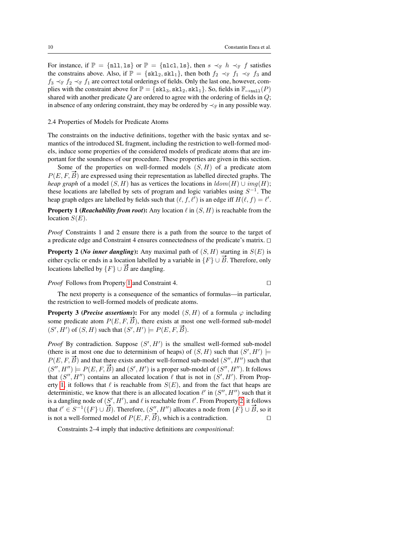For instance, if  $\mathbb{P} = \{\text{n11}, \text{ls}\}\$  or  $\mathbb{P} = \{\text{n1cl}, \text{ls}\}\$ , then  $s \prec_{\mathbb{F}} h \prec_{\mathbb{F}} f$  satisfies the constrains above. Also, if  $\mathbb{P} = \{ \text{skl}_2, \text{skl}_1 \}$ , then both  $f_2 \prec_{\mathbb{F}} f_1 \prec_{\mathbb{F}} f_3$  and  $f_3 \prec_F f_2 \prec_F f_1$  are correct total orderings of fields. Only the last one, however, complies with the constraint above for  $\mathbb{P} = \{ \text{skl}_3, \text{skl}_2, \text{skl}_1 \}$ . So, fields in  $\mathbb{F}_{\text{+\text{null}}}(P)$ shared with another predicate  $Q$  are ordered to agree with the ordering of fields in  $Q$ ; in absence of any ordering constraint, they may be ordered by  $\prec_F$  in any possible way.

#### 2.4 Properties of Models for Predicate Atoms

The constraints on the inductive definitions, together with the basic syntax and semantics of the introduced SL fragment, including the restriction to well-formed models, induce some properties of the considered models of predicate atoms that are important for the soundness of our procedure. These properties are given in this section.

Some of the properties on well-formed models  $(S, H)$  of a predicate atom  $P(E, F, \overrightarrow{B})$  are expressed using their representation as labelled directed graphs. The *heap graph* of a model  $(S, H)$  has as vertices the locations in  $ldom(H) \cup img(H)$ ; these locations are labelled by sets of program and logic variables using  $S^{-1}$ . The heap graph edges are labelled by fields such that  $(\ell, f, \ell')$  is an edge iff  $H(\ell, f) = \ell'.$ 

<span id="page-9-1"></span>**Property 1 (***Reachability from root***):** Any location  $\ell$  in  $(S, H)$  is reachable from the location  $S(E)$ .

*Proof* Constraints 1 and 2 ensure there is a path from the source to the target of a predicate edge and Constraint 4 ensures connectedness of the predicate's matrix.  $\Box$ 

<span id="page-9-2"></span>**Property 2** (*No inner dangling*): Any maximal path of  $(S, H)$  starting in  $S(E)$  is either cyclic or ends in a location labelled by a variable in  $\{F\} \cup \vec{B}$ . Therefore, only locations labelled by  $\{F\} \cup \vec{B}$  are dangling.

*Proof* Follows from Property [1](#page-9-1) and Constraint 4.

The next property is a consequence of the semantics of formulas—in particular, the restriction to well-formed models of predicate atoms.

**Property 3 (***Precise assertions*): For any model  $(S, H)$  of a formula  $\varphi$  including some predicate atom  $P(E, F, B)$ , there exists at most one well-formed sub-model Some predicate atom  $F(E, F, B)$ , there exists at the  $(S', H')$  of  $(S, H)$  such that  $(S', H') \models P(E, F, \vec{B})$ .

*Proof* By contradiction. Suppose  $(S', H')$  is the smallest well-formed sub-model (there is at most one due to determinism of heaps) of  $(S, H)$  such that  $(S', H') \models$ There is at most one due to determinism of heaps) or  $(S, H)$  such that  $(S', H') \models P(E, F, \overline{B})$  and that there exists another well-formed sub-model  $(S'', H'')$  such that  $(S', H'') \models P(E, F, \overrightarrow{B})$  and  $(S', H')$  is a proper sub-model of  $(S'', H'')$ . It follows that  $(S'', H'')$  contains an allocated location  $\ell$  that is not in  $(S', H')$ . From Prop-erty [1,](#page-9-1) it follows that  $\ell$  is reachable from  $S(E)$ , and from the fact that heaps are deterministic, we know that there is an allocated location  $\ell'$  in  $(S'', H'')$  such that it is a dangling node of  $(S', H')$ , and  $\ell$  is reachable from  $\ell'$ . From Property [2,](#page-9-2) it follows that  $\ell' \in S^{-1}(\{F\} \cup \overrightarrow{B})$ . Therefore,  $(S'', H'')$  allocates a node from  $\{F\} \cup \overrightarrow{B}$ , so it is not a well-formed model of  $P(E, F, \vec{B})$ , which is a contradiction.

<span id="page-9-0"></span>Constraints 2–4 imply that inductive definitions are *compositional*: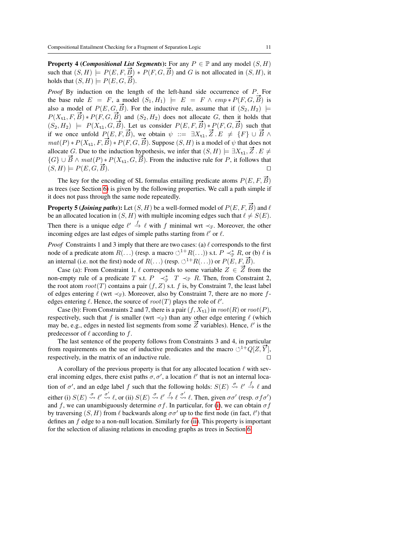**Property 4 (***Compositional List Segments*): For any  $P \in \mathbb{P}$  and any model  $(S, H)$ such that  $(S, H) \models P(E, F, \vec{B}) * P(F, G, \vec{B})$  and G is not allocated in  $(S, H)$ , it holds that  $(S, H) \models P(E, G, \vec{B}).$ 

*Proof* By induction on the length of the left-hand side occurrence of P. For the base rule  $E = F$ , a model  $(S_1, H_1) \models E = F \wedge \text{emp} * P(F, G, \overline{B})$  is also a model of  $P(E, G, \vec{B})$ . For the inductive rule, assume that if  $(S_2, H_2) \models$  $P(X_{t_1}, F, \vec{B}) * P(F, G, \vec{B})$  and  $(S_2, H_2)$  does not allocate G, then it holds that  $(S_2, H_2) \models P(X_{t_1}, G, \vec{B})$ . Let us consider  $P(E, F, \vec{B}) * P(F, G, \vec{B})$  such that if we once unfold  $P(E, F, \vec{B})$ , we obtain  $\psi$  ::=  $\exists X_{t1}, \vec{Z} \cdot E \neq \{F\} \cup \vec{B} \wedge$  $mat(P) * P(X_{t1}, F, \vec{B}) * P(F, G, \vec{B})$ . Suppose  $(S, H)$  is a model of  $\psi$  that does not  $\lim_{\alpha \to \infty} \frac{d}{dx} \left( \sum_{i=1}^{n} F(x_i, b) * F(x_i, b) \right)$ . Suppose  $(\beta, H)$  is a model of  $\psi$  that does not allocate G. Due to the induction hypothesis, we infer that  $(S, H) \models \exists X_{\tau}$ ,  $\overline{Z}$ .  $E \neq$ anocate G. Due to the mutution hypothesis, we find  $(S, H) \models \exists X_{t1}, Z : E \neq$ <br>{G}  $\cup \vec{B} \wedge mat(P) * P(X_{t1}, G, \vec{B})$ . From the inductive rule for P, it follows that  $\{G_f \cup B \land \textit{mat}(F) * F(\Lambda_{t1}, G, D)$ . From the mateuve rule for F, it follows that  $(S, H) \models P(E, G, \overrightarrow{B}).$ 

The key for the encoding of SL formulas entailing predicate atoms  $P(E, F, \vec{B})$ as trees (see Section [6\)](#page-17-0) is given by the following properties. We call a path simple if it does not pass through the same node repeatedly.

<span id="page-10-2"></span>**Property 5 (***Joining paths*): Let  $(S, H)$  be a well-formed model of  $P(E, F, \overrightarrow{B})$  and  $\ell$ be an allocated location in  $(S, H)$  with multiple incoming edges such that  $\ell \neq S(E)$ . Then there is a unique edge  $\ell' \stackrel{f}{\to} \ell$  with f minimal wrt  $\prec_{\mathbb{F}}$ . Moreover, the other incoming edges are last edges of simple paths starting from  $\ell'$  or  $\ell$ .

*Proof* Constraints 1 and 3 imply that there are two cases: (a)  $\ell$  corresponds to the first node of a predicate atom  $R(\ldots)$  (resp. a macro  $\circlearrowleft^{1+}R(\ldots)$ ) s.t.  $P \prec_{\mathbb{P}}^* R$ , or (b)  $\ell$  is an internal (i.e. not the first) node of  $R(\ldots)$  (resp.  $\circlearrowleft^{1+}R(\ldots)$ ) or  $P(E, F, \vec{B})$ .

The final (i.e. not the first) node of  $R(\ldots)$  (resp.  $\bigcirc$   $R(\ldots)$ ) of  $P(E, F, D)$ .<br>Case (a): From Constraint 1,  $\ell$  corresponds to some variable  $Z \in \overrightarrow{Z}$  from the non-empty rule of a predicate T s.t.  $P \prec_{\mathbb{P}}^* T \prec_{\mathbb{P}} R$ . Then, from Constraint 2, the root atom  $root(T)$  contains a pair  $(f, Z)$  s.t. f is, by Constraint 7, the least label of edges entering  $\ell$  (wrt  $\prec_{\mathbb{F}}$ ). Moreover, also by Constraint 7, there are no more fedges entering  $\ell$ . Hence, the source of  $root(T)$  plays the role of  $\ell'$ .

Case (b): From Constraints 2 and 7, there is a pair  $(f, X_{t_1})$  in  $root(R)$  or  $root(P)$ , respectively, such that f is smaller (wrt  $\prec_F$ ) than any other edge entering  $\ell$  (which respectively, such that *f* is smaller (wrt  $\prec_F$ ) than any other edge entering *l* (which may be, e.g., edges in nested list segments from some  $\vec{Z}$  variables). Hence,  $\ell'$  is the predecessor of  $\ell$  according to f.

The last sentence of the property follows from Constraints 3 and 4, in particular from requirements on the use of inductive predicates and the macro  $\circlearrowleft^{1+}Q[Z,\vec{Y}]$ , respectively, in the matrix of an inductive rule.  $\Box$ 

<span id="page-10-3"></span><span id="page-10-1"></span><span id="page-10-0"></span>A corollary of the previous property is that for any allocated location  $\ell$  with several incoming edges, there exist paths  $\sigma$ ,  $\sigma'$ , a location  $\ell'$  that is not an internal location of  $\sigma'$ , and an edge label f such that the following holds:  $S(E) \stackrel{\sigma}{\leadsto} \ell' \stackrel{f}{\to} \ell$  and either (i)  $S(E) \stackrel{\sigma}{\leadsto} \ell' \stackrel{\sigma'}{\leadsto} \ell$ , or (ii)  $S(E) \stackrel{\sigma}{\leadsto} \ell' \stackrel{f}{\leadsto} \ell \stackrel{\sigma'}{\leadsto} \ell$ . Then, given  $\sigma\sigma'$  (resp.  $\sigma f \sigma'$ ) and f, we can unambiguously determine  $\sigma f$ . In particular, for [\(i\)](#page-10-0), we can obtain  $\sigma f$ by traversing  $(S, H)$  from  $\ell$  backwards along  $\sigma \sigma'$  up to the first node (in fact,  $\ell'$ ) that defines an  $f$  edge to a non-null location. Similarly for [\(ii\)](#page-10-1). This property is important for the selection of aliasing relations in encoding graphs as trees in Section [6.](#page-17-0)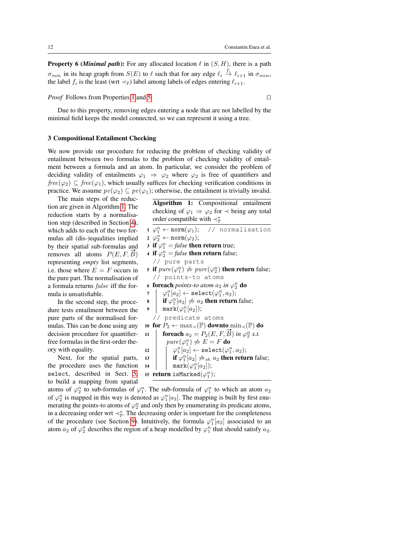**Property 6 (***Minimal path***):** For any allocated location  $\ell$  in  $(S, H)$ , there is a path  $\sigma_{min}$  in its heap graph from  $S(E)$  to  $\ell$  such that for any edge  $\ell_i \stackrel{f_i}{\to} \ell_{i+1}$  in  $\sigma_{min}$ , the label  $f_i$  is the least (wrt  $\prec_{\mathbb{F}}$ ) label among labels of edges entering  $\ell_{i+1}$ .

*Proof* Follows from Properties [1](#page-9-1) and [5.](#page-10-2)

Due to this property, removing edges entering a node that are not labelled by the minimal field keeps the model connected, so we can represent it using a tree.

#### 3 Compositional Entailment Checking

We now provide our procedure for reducing the problem of checking validity of entailment between two formulas to the problem of checking validity of entailment between a formula and an atom. In particular, we consider the problem of deciding validity of entailments  $\varphi_1 \Rightarrow \varphi_2$  where  $\varphi_2$  is free of quantifiers and  $free(\varphi_2) \subseteq free(\varphi_1)$ , which usually suffices for checking verification conditions in practice. We assume  $pv(\varphi_2) \subseteq pv(\varphi_1)$ ; otherwise, the entailment is trivially invalid.

The main steps of the reduction are given in Algorithm [1.](#page-11-0) The reduction starts by a normalisation step (described in Section [4\)](#page-14-0), which adds to each of the two formulas all (dis-)equalities implied by their spatial sub-formulas and removes all atoms  $P(E, F, B)$ representing *empty* list segments, i.e. those where  $E = F$  occurs in the pure part. The normalisation of a formula returns false iff the formula is unsatisfiable.

In the second step, the procedure tests entailment between the pure parts of the normalised formulas. This can be done using any decision procedure for quantifierfree formulas in the first-order theory with equality.

Next, for the spatial parts, the procedure uses the function select, described in Sect. [5,](#page-15-0) to build a mapping from spatial

1  $\varphi_1^n$ // normalisation  $2 \varphi_2^n \leftarrow \text{norm}(\varphi_2);$ 3 if  $\varphi_1^n = \text{false}$  then return true; 4 if  $\varphi_2^n$  = *false* then return false; // pure parts 5 if  $pure(\varphi_1^n) \nRightarrow pure(\varphi_2^n)$  then return false; // points-to atoms 6 for each *points-to atom*  $a_2$  *in*  $\varphi_2^n$  do  $\tau \quad | \quad \varphi_1^n[a_2] \leftarrow \mathtt{select}(\varphi_1^n,a_2);$ 8 **if**  $\varphi_1^n[a_2] \neq a_2$  **then return** false;  $\mathsf{9}\quad\Big|\quad \mathtt{mark}(\varphi_1^n[a_2]);$ // predicate atoms 10 for  $P_2 \leftarrow \max_{\prec}(\mathbb{P})$  downto  $\min_{\prec}(\mathbb{P})$  do 10 **101**  $P_2 \leftarrow \max_{\prec} (\mathbb{F})$  **downto**  $\min_{\prec} (\mathbb{F})$  **d**<br>
11 **foreach**  $a_2 = P_2(E, F, \vec{B})$  *in*  $\varphi_2^n$  *s.t.*  $pure(\varphi_1^n) \not\Rightarrow E = F$  do  $\quad \texttt{12} \quad | \quad \varphi_1^n[a_2] \leftarrow \texttt{select}(\varphi_1^n,a_2);$ 13 **if**  $\varphi_1^n[a_2] \not\Rightarrow_{sh} a_2$  **then return** false; 14 |  $\texttt{mark}(\varphi_1^n[a_2]);$ 15 **return** isMarked $(\varphi_1^n)$ ;

Algorithm 1: Compositional entailment checking of  $\varphi_1 \Rightarrow \varphi_2$  for  $\prec$  being any total

order compatible with  $\prec^*_{\mathbb{P}}$ 

<span id="page-11-0"></span>atoms of  $\varphi_2^n$  to sub-formulas of  $\varphi_1^n$ . The sub-formula of  $\varphi_1^n$  to which an atom  $a_2$ of  $\varphi_2^n$  is mapped in this way is denoted as  $\varphi_1^n[a_2]$ . The mapping is built by first enumerating the points-to atoms of  $\varphi_2^n$  and only then by enumerating its predicate atoms, in a decreasing order wrt  $\prec_{\mathbb{P}}^*$ . The decreasing order is important for the completeness of the procedure (see Section [9\)](#page-28-0). Intuitively, the formula  $\varphi_1^n[a_2]$  associated to an atom  $a_2$  of  $\varphi_2^n$  describes the region of a heap modelled by  $\varphi_1^n$  that should satisfy  $a_2$ .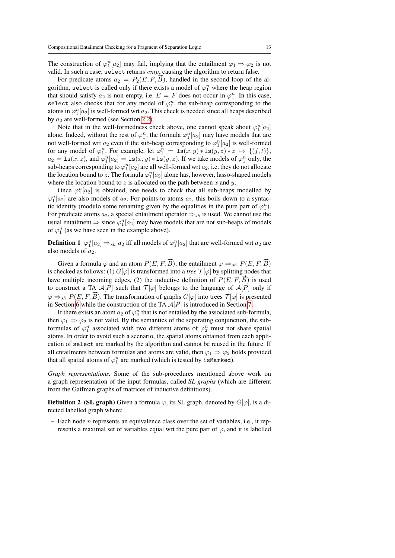The construction of  $\varphi_1^n[a_2]$  may fail, implying that the entailment  $\varphi_1 \Rightarrow \varphi_2$  is not valid. In such a case, select returns emp, causing the algorithm to return false.

For predicate atoms  $a_2 = P_2(E, F, B)$ , handled in the second loop of the algorithm, select is called only if there exists a model of  $\varphi_1^n$  where the heap region that should satisfy  $a_2$  is non-empty, i.e.  $E = F$  does not occur in  $\varphi_1^n$ . In this case, select also checks that for any model of  $\varphi_1^n$ , the sub-heap corresponding to the atoms in  $\varphi_1^n[a_2]$  is well-formed wrt  $a_2$ . This check is needed since all heaps described by  $a_2$  are well-formed (see Section [2.2\)](#page-4-1).

Note that in the well-formedness check above, one cannot speak about  $\varphi_1^n[a_2]$ alone. Indeed, without the rest of  $\varphi_1^n$ , the formula  $\varphi_1^n[a_2]$  may have models that are not well-formed wrt  $a_2$  even if the sub-heap corresponding to  $\varphi_1^n[a_2]$  is well-formed for any model of  $\varphi_1^n$ . For example, let  $\varphi_1^n = \text{ls}(x, y) * \text{ls}(y, z) * z \mapsto \{(f, t)\},\$  $a_2 = \text{ls}(x, z)$ , and  $\varphi_1^n[a_2] = \text{ls}(x, y) * \text{ls}(y, z)$ . If we take models of  $\varphi_1^n$  only, the sub-heaps corresponding to  $\varphi_1^n[a_2]$  are all well-formed wrt  $a_2$ , i.e. they do not allocate the location bound to z. The formula  $\varphi_1^n[a_2]$  alone has, however, lasso-shaped models where the location bound to  $z$  is allocated on the path between  $x$  and  $y$ .

Once  $\varphi_1^n[a_2]$  is obtained, one needs to check that all sub-heaps modelled by  $\varphi_1^n[a_2]$  are also models of  $a_2$ . For points-to atoms  $a_2$ , this boils down to a syntactic identity (modulo some renaming given by the equalities in the pure part of  $\varphi_1^n$ ). For predicate atoms  $a_2$ , a special entailment operator  $\Rightarrow_{sh}$  is used. We cannot use the usual entailment  $\Rightarrow$  since  $\varphi_1^n[a_2]$  may have models that are not sub-heaps of models of  $\varphi_1^n$  (as we have seen in the example above).

**Definition 1**  $\varphi_1^n[a_2] \Rightarrow_{sh} a_2$  iff all models of  $\varphi_1^n[a_2]$  that are well-formed wrt  $a_2$  are also models of  $a_2$ .

Given a formula  $\varphi$  and an atom  $P(E, F, \vec{B})$ , the entailment  $\varphi \Rightarrow_{sh} P(E, F, \vec{B})$ is checked as follows: (1)  $G[\varphi]$  is transformed into a *tree*  $\mathcal{T}[\varphi]$  by splitting nodes that have multiple incoming edges, (2) the inductive definition of  $P(E, F, \vec{B})$  is used to construct a TA  $A[P]$  such that  $T[\varphi]$  belongs to the language of  $A[P]$  only if  $\varphi \Rightarrow_{sh} P(E, F, \vec{B})$ . The transformation of graphs  $G[\varphi]$  into trees  $\mathcal{T}[\varphi]$  is presented in Section [6](#page-17-0) while the construction of the TA  $A[P]$  is introduced in Section [7.](#page-20-0)

If there exists an atom  $a_2$  of  $\varphi_2^n$  that is not entailed by the associated sub-formula, then  $\varphi_1 \Rightarrow \varphi_2$  is not valid. By the semantics of the separating conjunction, the subformulas of  $\varphi_1^n$  associated with two different atoms of  $\varphi_2^n$  must not share spatial atoms. In order to avoid such a scenario, the spatial atoms obtained from each application of select are marked by the algorithm and cannot be reused in the future. If all entailments between formulas and atoms are valid, then  $\varphi_1 \Rightarrow \varphi_2$  holds provided that all spatial atoms of  $\varphi_1^n$  are marked (which is tested by isMarked).

*Graph representations.* Some of the sub-procedures mentioned above work on a graph representation of the input formulas, called *SL graphs* (which are different from the Gaifman graphs of matrices of inductive definitions).

**Definition 2** (SL graph) Given a formula  $\varphi$ , its SL graph, denoted by  $G[\varphi]$ , is a directed labelled graph where:

 $-$  Each node *n* represents an equivalence class over the set of variables, i.e., it represents a maximal set of variables equal wrt the pure part of  $\varphi$ , and it is labelled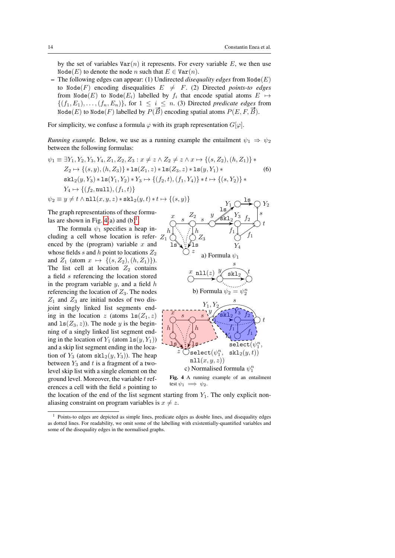by the set of variables  $Var(n)$  it represents. For every variable E, we then use Node(E) to denote the node n such that  $E \in \text{Var}(n)$ .

 $-$  The following edges can appear: (1) Undirected *disequality edges* from Node(E) to Node(F) encoding disequalities  $E \neq F$ . (2) Directed *points-to edges* from Node $(E)$  to Node $(E_i)$  labelled by  $f_i$  that encode spatial atoms  $E \mapsto$  $\{(f_1, E_1), \ldots, (f_n, E_n)\}\)$ , for  $1 \leq i \leq n$ . (3) Directed *predicate edges* from  $\{ (f_1, E_1), \ldots, (f_n, E_n) \}$ , for  $1 \leq i \leq n$ . (5) Directed predicate eages is<br>Node(E) to Node(F) labelled by  $P(\vec{B})$  encoding spatial atoms  $P(E, F, \vec{B})$ .

For simplicity, we confuse a formula  $\varphi$  with its graph representation  $G[\varphi]$ .

*Running example.* Below, we use as a running example the entailment  $\psi_1 \Rightarrow \psi_2$ between the following formulas:

$$
\psi_1 \equiv \exists Y_1, Y_2, Y_3, Y_4, Z_1, Z_2, Z_3 : x \neq z \land Z_2 \neq z \land x \mapsto \{(s, Z_2), (h, Z_1)\} *
$$
  
\n
$$
Z_2 \mapsto \{(s, y), (h, Z_3)\} * \mathbf{ls}(Z_1, z) * \mathbf{ls}(Z_3, z) * \mathbf{ls}(y, Y_1) * \qquad (6)
$$
  
\n
$$
skl_2(y, Y_3) * \mathbf{ls}(Y_1, Y_2) * Y_3 \mapsto \{(f_2, t), (f_1, Y_4)\} * t \mapsto \{(s, Y_2)\} *
$$
  
\n
$$
Y_4 \mapsto \{(f_2, \text{null}), (f_1, t)\}
$$
  
\n
$$
\psi_2 \equiv y \neq t \land \text{null}(x, y, z) * \mathbf{skl}_2(y, t) * t \mapsto \{(s, y)\}
$$

The graph representations of these formulas are shown in Fig.  $4(a)$  and  $(b)^1$  $(b)^1$ .

The formula  $\psi_1$  specifies a heap including a cell whose location is referenced by the (program) variable  $x$  and whose fields s and h point to locations  $Z_2$ and  $Z_1$  (atom  $x \mapsto \{(s, Z_2), (h, Z_1)\}.$ The list cell at location  $Z_2$  contains a field s referencing the location stored in the program variable  $y$ , and a field  $h$ referencing the location of  $Z_3$ . The nodes  $Z_1$  and  $Z_3$  are initial nodes of two disjoint singly linked list segments ending in the location z (atoms  $ls(Z_1, z)$ and  $ls(Z_3, z)$ ). The node y is the beginning of a singly linked list segment ending in the location of  $Y_1$  (atom  $ls(y, Y_1)$ ) and a skip list segment ending in the location of  $Y_3$  (atom  $\text{skl}_2(y, Y_3)$ ). The heap between  $Y_3$  and t is a fragment of a twolevel skip list with a single element on the ground level. Moreover, the variable  $t$  references a cell with the field s pointing to

<span id="page-13-2"></span>

the location of the end of the list segment starting from  $Y_1$ . The only explicit nonaliasing constraint on program variables is  $x \neq z$ .

<span id="page-13-0"></span>test  $\psi_1 \implies \psi_2$ .

<span id="page-13-1"></span><sup>1</sup> Points-to edges are depicted as simple lines, predicate edges as double lines, and disequality edges as dotted lines. For readability, we omit some of the labelling with existentially-quantified variables and some of the disequality edges in the normalised graphs.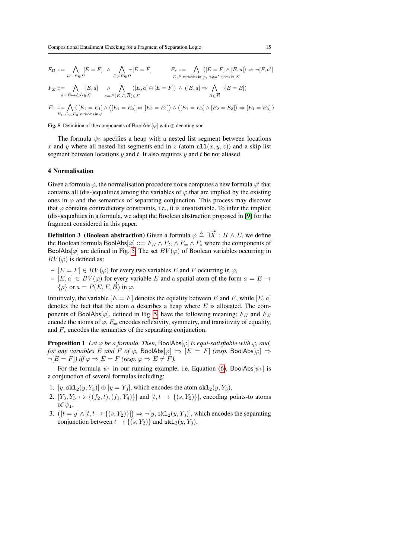$$
F_{\Pi} ::= \bigwedge_{E=F \in \Pi} [E = F] \land \bigwedge_{E \neq F \in \Pi} \neg [E = F] \qquad F_* ::= \bigwedge_{E, F \text{ variables in } \varphi, \ a \neq a' \text{ atoms in } \Sigma} ([E = F] \land [E, a]) \Rightarrow \neg [F, a']
$$

$$
F_{\Sigma} ::= \bigwedge_{a=E \mapsto \{\rho\} \in \Sigma} [E, a] \land \bigwedge_{a=P(E, F, \vec{B}) \in \Sigma} ([E, a] \oplus [E = F]) \land ([E, a] \Rightarrow \bigwedge_{B \in \vec{B}} \neg [E = B])
$$
  

$$
F_{\equiv} ::= \bigwedge ([E_1 = E_1] \land ([E_1 = E_2] \Leftrightarrow [E_2 = E_1]) \land ([E_1 = E_2] \land [E_2 = E_3]) \Rightarrow [E_1 = E_3])
$$

 $E_1, E_2, E_3$  variables in  $\varphi$ 

<span id="page-14-1"></span>Fig. 5 Definition of the components of BoolAbs[ $\varphi$ ] with  $\oplus$  denoting xor

The formula  $\psi_2$  specifies a heap with a nested list segment between locations x and y where all nested list segments end in z (atom  $n\text{1}(x, y, z)$ ) and a skip list segment between locations  $y$  and  $t$ . It also requires  $y$  and  $t$  be not aliased.

#### <span id="page-14-0"></span>4 Normalisation

Given a formula  $\varphi$ , the normalisation procedure norm computes a new formula  $\varphi'$  that contains all (dis-)equalities among the variables of  $\varphi$  that are implied by the existing ones in  $\varphi$  and the semantics of separating conjunction. This process may discover that  $\varphi$  contains contradictory constraints, i.e., it is unsatisfiable. To infer the implicit (dis-)equalities in a formula, we adapt the Boolean abstraction proposed in [\[9\]](#page-31-9) for the fragment considered in this paper.

**Definition 3** (Boolean abstraction) Given a formula  $\varphi \triangleq \exists \vec{X} : \Pi \wedge \Sigma$ , we define the Boolean formula BoolAbs $[\varphi] ::= F_{\Pi} \wedge F_{\Sigma} \wedge F_{=} \wedge F_{*}$  where the components of BoolAbs[ $\varphi$ ] are defined in Fig. [5.](#page-14-1) The set  $BV(\varphi)$  of Boolean variables occurring in  $BV(\varphi)$  is defined as:

- $-[E = F] \in BV(\varphi)$  for every two variables E and F occurring in  $\varphi$ ,
- $[E, a] ∈ BV(φ)$  for every variable E and a spatial atom of the form  $a = E \mapsto {ρ}$  or  $a = P(E, F, \vec{B})$  in  $φ$ .

Intuitively, the variable  $[E = F]$  denotes the equality between E and F, while  $[E, a]$ denotes the fact that the atom  $\alpha$  describes a heap where  $E$  is allocated. The components of BoolAbs[ $\varphi$ ], defined in Fig. [5,](#page-14-1) have the following meaning:  $F_{II}$  and  $F_{\Sigma}$ encode the atoms of  $\varphi$ ,  $F_$  encodes reflexivity, symmetry, and transitivity of equality, and  $F_*$  encodes the semantics of the separating conjunction.

<span id="page-14-2"></span>**Proposition 1** *Let*  $\varphi$  *be a formula. Then,* BoolAbs[ $\varphi$ ] *is equi-satisfiable with*  $\varphi$ *, and, for any variables* E *and* F *of*  $\varphi$ , BoolAbs $[\varphi] \Rightarrow [E = F]$  *(resp.* BoolAbs $[\varphi] \Rightarrow$  $\neg [E = F]$ *)* iff  $\varphi \Rightarrow E = F$  (resp.  $\varphi \Rightarrow E \neq F$ ).

For the formula  $\psi_1$  in our running example, i.e. Equation [\(6\)](#page-13-2), BoolAbs[ $\psi_1$ ] is a conjunction of several formulas including:

- 1.  $[y, \text{skl}_2(y, Y_3)] \oplus [y = Y_3]$ , which encodes the atom  $\text{skl}_2(y, Y_3)$ ,
- 2.  $[Y_3, Y_3 \mapsto \{(f_2, t), (f_1, Y_4)\}]$  and  $[t, t \mapsto \{(s, Y_2)\}]$ , encoding points-to atoms of  $\psi_1$ ,
- 3.  $([t = y] \wedge [t, t \mapsto \{(s, Y_2)\}]) \Rightarrow \neg [y, \text{skl}_2(y, Y_3)],$  which encodes the separating conjunction between  $t \mapsto \{(s, Y_2)\}\$ and skl $_2(y, Y_3)$ ,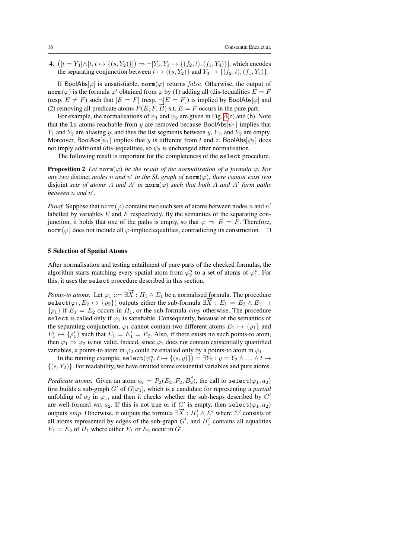4.  $([t = Y_3] \land [t, t \mapsto \{(s, Y_2)\}]) \Rightarrow \neg[Y_3, Y_3 \mapsto \{(f_2, t), (f_1, Y_4)\}],$  which encodes the separating conjunction between  $t \mapsto \{(s, Y_2)\}\$ and  $Y_3 \mapsto \{(f_2, t), (f_1, Y_4)\}.$ 

If BoolAbs $[\varphi]$  is unsatisfiable, norm $(\varphi)$  returns false. Otherwise, the output of norm( $\varphi$ ) is the formula  $\varphi'$  obtained from  $\varphi$  by (1) adding all (dis-)equalities  $E = F$ (resp.  $E \neq F$ ) such that  $[E = F]$  (resp.  $\neg [E = F]$ ) is implied by BoolAbs[ $\varphi$ ] and (2) removing all predicate atoms  $P(E, F, \vec{B})$  s.t.  $E = F$  occurs in the pure part.

For example, the normalisations of  $\psi_1$  and  $\psi_2$  are given in Fig. [4\(](#page-13-0)c) and (b). Note that the 1s atoms reachable from y are removed because BoolAbs $[\psi_1]$  implies that  $Y_1$  and  $Y_2$  are aliasing y, and thus the list segments between y,  $Y_1$ , and  $Y_2$  are empty. Moreover, BoolAbs $[\psi_1]$  implies that y is different from t and z. BoolAbs $[\psi_2]$  does not imply additional (dis-)equalities, so  $\psi_2$  is unchanged after normalisation.

The following result is important for the completeness of the select procedure.

<span id="page-15-1"></span>**Proposition 2** *Let* norm( $\varphi$ ) *be the result of the normalisation of a formula*  $\varphi$ *. For any two* distinct *nodes n* and  $n'$  *in the SL graph of* norm( $\varphi$ )*, there cannot exist two* disjoint *sets of atoms* A and A' in norm( $\varphi$ ) *such that both* A and A' form paths *between* n *and* n 0 *.*

*Proof* Suppose that  $\text{norm}(\varphi)$  contains two such sets of atoms between nodes n and n' labelled by variables  $E$  and  $F$  respectively. By the semantics of the separating conjunction, it holds that one of the paths is empty, so that  $\varphi \Rightarrow E = F$ . Therefore, norm( $\varphi$ ) does not include all  $\varphi$ -implied equalities, contradicting its construction.  $\square$ 

## <span id="page-15-0"></span>5 Selection of Spatial Atoms

After normalisation and testing entailment of pure parts of the checked formulas, the algorithm starts matching every spatial atom from  $\varphi_2^n$  to a set of atoms of  $\varphi_1^n$ . For this, it uses the select procedure described in this section.

*Points-to atoms.* Let  $\varphi_1 ::= \exists \vec{X} : \Pi_1 \wedge \Sigma_1$  be a normalised formula. The procedure Foints-to atoms. Let  $\varphi_1 := \exists X : H_1 \wedge \varphi_1$  be a normalised formula. The procedure  $\text{select}(\varphi_1, E_2 \mapsto {\varphi_2})$  outputs either the sub-formula  $\exists \overline{X} : E_1 = E_2 \wedge E_1 \mapsto$  $\{\rho_1\}$  if  $E_1 = E_2$  occurs in  $\Pi_1$ , or the sub-formula *emp* otherwise. The procedure select is called only if  $\varphi_1$  is satisfiable. Consequently, because of the semantics of the separating conjunction,  $\varphi_1$  cannot contain two different atoms  $E_1 \mapsto {\rho_1}$  and  $E_1' \mapsto {\rho_1'}$  such that  $E_1 = E_1' = E_2$ . Also, if there exists no such points-to atom, then  $\varphi_1 \Rightarrow \varphi_2$  is not valid. Indeed, since  $\varphi_2$  does not contain existentially quantified variables, a points-to atom in  $\varphi_2$  could be entailed only by a points-to atom in  $\varphi_1$ .

In the running example,  $\texttt{select}(\psi_1^n, t \mapsto \{(s, y)\}) = \exists Y_2 : y = Y_2 \wedge \ldots \wedge t \mapsto$  $\{(s, Y_2)\}\.$  For readability, we have omitted some existential variables and pure atoms.

*Predicate atoms.* Given an atom  $a_2 = P_2(E_2, F_2, \overrightarrow{B_2})$ , the call to select $(\varphi_1, a_2)$ first builds a sub-graph  $G'$  of  $G[\varphi_1]$ , which is a candidate for representing a *partial* unfolding of  $a_2$  in  $\varphi_1$ , and then it checks whether the sub-heaps described by  $G'$ are well-formed wrt  $a_2$ . If this is not true or if G' is empty, then select $(\varphi_1, a_2)$ are wen-formed wrt  $a_2$ . It this is not true or if  $G$  is empty, then select( $(\varphi_1, a_2)$  outputs  $emp$ . Otherwise, it outputs the formula  $\exists \overline{X}$ :  $\Pi'_1 \wedge \Sigma'$  where  $\Sigma'$  consists of all atoms represented by edges of the sub-graph  $G'$ , and  $\Pi'_1$  contains all equalities  $E_1 = E_2$  of  $\Pi_1$  where either  $E_1$  or  $E_2$  occur in  $G'$ .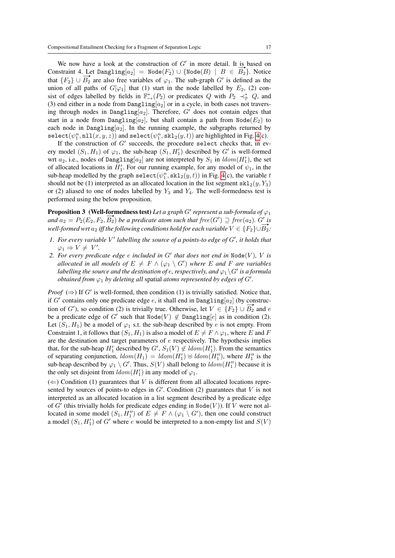We now have a look at the construction of  $G'$  in more detail. It is based on We now have a look at the construction of G in more detail. It is based on<br>Constraint 4. Let Dangling[ $a_2$ ] = Node( $F_2$ )  $\cup$  {Node( $B$ ) |  $B \in \overline{B_2}$ }. Notice Constraint 4. Let  $\text{D}$   $\text{D}$  are also free variables of  $\varphi_1$ . The sub-graph  $G'$  is defined as the that  $\{F_2\} \cup \overline{B_2}$  are also free variables of  $\varphi_1$ . The sub-graph  $G'$  is defined as the union of all paths of  $G[\varphi_1]$  that (1) start in the node labelled by  $E_2$ , (2) consist of edges labelled by fields in  $\mathbb{F}^*_{\mapsto}(P_2)$  or predicates Q with  $P_2 \prec^*_{\mathbb{P}} Q$ , and (3) end either in a node from  $\text{Dangling}[a_2]$  or in a cycle, in both cases not traversing through nodes in Dangling[ $a_2$ ]. Therefore,  $G'$  does not contain edges that start in a node from Dangling[a<sub>2</sub>], but shall contain a path from  $\text{Node}(E_2)$  to each node in Dangling $[a_2]$ . In the running example, the subgraphs returned by  $\mathtt{select}(\psi_1^n, \mathtt{nil}(x,y,z))$  and  $\mathtt{select}(\psi_1^n, \mathtt{skl}_2(y,t))$  are highlighted in Fig. [4\(](#page-13-0)c).

If the construction of  $G'$  succeeds, the procedure select checks that, in every model  $(S_1, H_1)$  of  $\varphi_1$ , the sub-heap  $(S_1, H_1')$  described by G' is well-formed wrt  $a_2$ , i.e., nodes of Dangling $[a_2]$  are not interpreted by  $S_1$  in  $ldom(H'_1)$ , the set of allocated locations in  $H'_1$ . For our running example, for any model of  $\psi_1$ , in the sub-heap modelled by the graph select $(\psi_1^n, \text{skl}_2(y, t))$  in Fig. [4\(](#page-13-0)c), the variable t should not be (1) interpreted as an allocated location in the list segment  $\text{skl}_2(y, Y_3)$ or (2) aliased to one of nodes labelled by  $Y_3$  and  $Y_4$ . The well-formedness test is performed using the below proposition.

<span id="page-16-0"></span>**Proposition 3** (Well-formedness test) Let a graph G' represent a sub-formula of  $\varphi_1$ **Proposition 5** (**Well-formedness test**) Let a graph G' represent a sub-formula of  $\varphi_1$ <br>and  $a_2 = P_2(E_2, F_2, \overline{B_2})$  be a predicate atom such that free(G')  $\supseteq$  free(a<sub>2</sub>). G' is *well-formed wrt*  $a_2$  *iff the following conditions hold for each variable*  $V \in \{F_2\} \cup B_2$ :

- *l. For every variable* V' labelling the source of a points-to edge of G', it holds that  $\varphi_1 \Rightarrow V \neq V'.$
- 2. For every predicate edge  $e$  included in  $G'$  that does not end in  $\text{Node}(V)$ ,  $V$  is *allocated in all models of*  $E \neq F \wedge (\varphi_1 \setminus G')$  where E and F are variables labelling the source and the destination of  $e$ , respectively, and  $\varphi_1\backslash G'$  is a formula *obtained from*  $\varphi_1$  *by deleting all spatial atoms represented by edges of G'.*

*Proof*  $(\Rightarrow)$  If G' is well-formed, then condition (1) is trivially satisfied. Notice that, if  $G'$  contains only one predicate edge  $e$ , it shall end in Dangling $[a_2]$  (by construction of G'), so condition (2) is trivially true. Otherwise, let  $V \in \{F_2\} \cup \overline{B_2}$  and e be a predicate edge of G' such that  $\text{Node}(V) \notin \text{Dangling}[e]$  as in condition (2). Let  $(S_1, H_1)$  be a model of  $\varphi_1$  s.t. the sub-heap described by e is not empty. From Constraint 1, it follows that  $(S_1, H_1)$  is also a model of  $E \neq F \wedge \varphi_1$ , where E and F are the destination and target parameters of  $e$  respectively. The hypothesis implies that, for the sub-heap  $H'_1$  described by  $G'$ ,  $S_1(V) \notin \text{ldom}(H'_1)$ . From the semantics of separating conjunction,  $ldom(H_1) = \text{ldom}(H'_1) \oplus \text{ldom}(H''_1)$ , where  $H''_1$  is the sub-heap described by  $\varphi_1 \setminus G'$ . Thus,  $S(V)$  shall belong to  $\text{ldom}(H''_1)$  because it is the only set disjoint from  $ldom(H'_1)$  in any model of  $\varphi_1$ .

 $(\Leftarrow)$  Condition (1) guarantees that V is different from all allocated locations represented by sources of points-to edges in  $G'$ . Condition (2) guarantees that  $V$  is not interpreted as an allocated location in a list segment described by a predicate edge of  $G'$  (this trivially holds for predicate edges ending in Node(V)). If V were not allocated in some model  $(S_1, H_1'')$  of  $E \neq F \wedge (\varphi_1 \setminus G')$ , then one could construct a model  $(S_1, H'_1)$  of G' where e would be interpreted to a non-empty list and  $S(V)$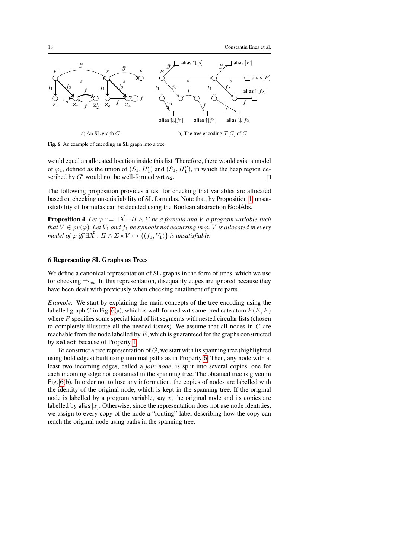

<span id="page-17-1"></span>Fig. 6 An example of encoding an SL graph into a tree

would equal an allocated location inside this list. Therefore, there would exist a model of  $\varphi_1$ , defined as the union of  $(S_1, H_1')$  and  $(S_1, H_1'')$ , in which the heap region described by  $G'$  would not be well-formed wrt  $a_2$ .

The following proposition provides a test for checking that variables are allocated based on checking unsatisfiability of SL formulas. Note that, by Proposition [1,](#page-14-2) unsatisfiability of formulas can be decided using the Boolean abstraction BoolAbs.

**Proposition 4** Let  $\varphi ::= \exists \vec{X} : \Pi \wedge \Sigma$  be a formula and V a program variable such *that*  $V \in pv(\varphi)$ *. Let*  $V_1$  *and*  $f_1$  *be symbols not occurring in*  $\varphi$ *. V is allocated in every mat*  $v \in pv(\varphi)$ . Let  $v_1$  *and*  $j_1$  *be symbols not occurring in*  $\varphi$ .<br>*model of*  $\varphi$  *iff*  $\exists \overrightarrow{X} : \Pi \wedge \Sigma * V \mapsto \{(f_1, V_1)\}$  *is unsatisfiable.* 

## <span id="page-17-0"></span>6 Representing SL Graphs as Trees

We define a canonical representation of SL graphs in the form of trees, which we use for checking  $\Rightarrow_{sh}$ . In this representation, disequality edges are ignored because they have been dealt with previously when checking entailment of pure parts.

*Example:* We start by explaining the main concepts of the tree encoding using the labelled graph G in Fig. [6\(](#page-17-1)a), which is well-formed wrt some predicate atom  $P(E, F)$ where  $P$  specifies some special kind of list segments with nested circular lists (chosen to completely illustrate all the needed issues). We assume that all nodes in  $G$  are reachable from the node labelled by  $E$ , which is guaranteed for the graphs constructed by select because of Property [1.](#page-9-1)

To construct a tree representation of  $G$ , we start with its spanning tree (highlighted using bold edges) built using minimal paths as in Property [6.](#page-10-3) Then, any node with at least two incoming edges, called a *join node*, is split into several copies, one for each incoming edge not contained in the spanning tree. The obtained tree is given in Fig. [6\(](#page-17-1)b). In order not to lose any information, the copies of nodes are labelled with the identity of the original node, which is kept in the spanning tree. If the original node is labelled by a program variable, say  $x$ , the original node and its copies are labelled by alias  $[x]$ . Otherwise, since the representation does not use node identities, we assign to every copy of the node a "routing" label describing how the copy can reach the original node using paths in the spanning tree.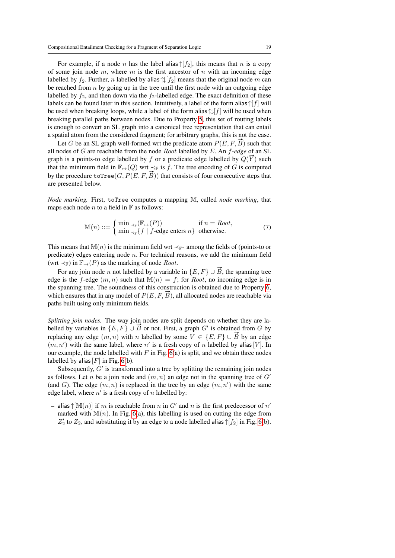For example, if a node n has the label alias  $\uparrow$ [ $f_2$ ], this means that n is a copy of some join node  $m$ , where  $m$  is the first ancestor of  $n$  with an incoming edge labelled by  $f_2$ . Further, n labelled by alias  $\left\lfloor \frac{f_2}{f_2} \right\rfloor$  means that the original node m can be reached from  $n$  by going up in the tree until the first node with an outgoing edge labelled by  $f_2$ , and then down via the  $f_2$ -labelled edge. The exact definition of these labels can be found later in this section. Intuitively, a label of the form alias  $\uparrow[f]$  will be used when breaking loops, while a label of the form alias  $\frac{1}{\ell}$ [f] will be used when breaking parallel paths between nodes. Due to Property [5,](#page-10-2) this set of routing labels is enough to convert an SL graph into a canonical tree representation that can entail a spatial atom from the considered fragment; for arbitrary graphs, this is not the case.

Let G be an SL graph well-formed wrt the predicate atom  $P(E, F, \overrightarrow{B})$  such that all nodes of G are reachable from the node Root labelled by E. An f*-edge* of an SL all nodes of G are reachable from the node *Root* labelled by E. An *J-eage* of an SL graph is a points-to edge labelled by f or a predicate edge labelled by  $Q(\vec{Y})$  such that the minimum field in  $\mathbb{F}_{\mapsto}(Q)$  wrt  $\prec_{\mathbb{F}}$  is f. The tree encoding of G is computed by the procedure toTree $(G, P(E, F, \overline{B}))$  that consists of four consecutive steps that are presented below.

*Node marking.* First, toTree computes a mapping M, called *node marking*, that maps each node *n* to a field in  $\mathbb F$  as follows:

$$
\mathbb{M}(n) ::= \begin{cases} \min_{\prec_{\mathbb{F}}} (\mathbb{F}_{\mapsto}(P)) & \text{if } n = Root, \\ \min_{\prec_{\mathbb{F}}} \{f \mid f\text{-edge enters } n\} & \text{otherwise.} \end{cases}
$$
(7)

This means that M(n) is the minimum field wrt  $\prec_{\mathbb{F}^*}$  among the fields of (points-to or predicate) edges entering node  $n$ . For technical reasons, we add the minimum field (wrt  $\prec_{\mathbb{F}}$ ) in  $\mathbb{F}_{\rightarrow}(P)$  as the marking of node *Root*.

For any join node *n* not labelled by a variable in  $\{E, F\} \cup \vec{B}$ , the spanning tree edge is the f-edge  $(m, n)$  such that  $M(n) = f$ ; for *Root*, no incoming edge is in the spanning tree. The soundness of this construction is obtained due to Property [6,](#page-10-3) which ensures that in any model of  $P(E, F, \overrightarrow{B})$ , all allocated nodes are reachable via paths built using only minimum fields.

*Splitting join nodes.* The way join nodes are split depends on whether they are la*spitting join nodes.* The way join nodes are spit depends on whether they are fa-<br>belled by variables in  $\{E, F\} \cup \vec{B}$  or not. First, a graph G' is obtained from G by replacing any edge  $(m, n)$  with n labelled by some  $V \in \{E, F\} \cup \vec{B}$  by an edge  $(m, n')$  with the same label, where n' is a fresh copy of n labelled by alias [V]. In our example, the node labelled with  $F$  in Fig.  $6(a)$  is split, and we obtain three nodes labelled by alias  $[F]$  in Fig. [6\(](#page-17-1)b).

Subsequently,  $G'$  is transformed into a tree by splitting the remaining join nodes as follows. Let n be a join node and  $(m, n)$  an edge not in the spanning tree of  $G'$ (and G). The edge  $(m, n)$  is replaced in the tree by an edge  $(m, n')$  with the same edge label, where  $n'$  is a fresh copy of n labelled by:

- alias  $\uparrow$ [M $(n)$ ] if m is reachable from n in G' and n is the first predecessor of n' marked with  $M(n)$ . In Fig. [6\(](#page-17-1)a), this labelling is used on cutting the edge from  $Z'_2$  to  $Z_2$ , and substituting it by an edge to a node labelled alias  $\uparrow[f_2]$  in Fig. [6\(](#page-17-1)b).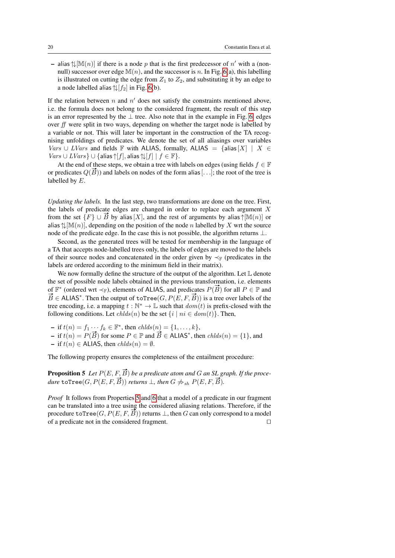– alias  $\mathcal{L}[\mathbb{M}(n)]$  if there is a node p that is the first predecessor of n' with a (nonnull) successor over edge  $\mathbb{M}(n)$ , and the successor is n. In Fig. [6\(](#page-17-1)a), this labelling is illustrated on cutting the edge from  $Z_1$  to  $Z_2$ , and substituting it by an edge to a node labelled alias  $\sqrt{\frac{f_2}{n}}$  in Fig. [6\(](#page-17-1)b).

If the relation between  $n$  and  $n'$  does not satisfy the constraints mentioned above, i.e. the formula does not belong to the considered fragment, the result of this step is an error represented by the  $\perp$  tree. Also note that in the example in Fig. [6,](#page-17-1) edges over ff were split in two ways, depending on whether the target node is labelled by a variable or not. This will later be important in the construction of the TA recognising unfoldings of predicates. We denote the set of all aliasings over variables *Vars* ∪ *LVars* and fields **F** with ALIAS, formally, ALIAS = {alias  $[X]$  |  $X \in$  $Vars \cup LVars$   $\cup$  {alias  $\uparrow$  [f], alias  $\uparrow \downarrow$  [f]  $| f \in \mathbb{F}$  }.

At the end of these steps, we obtain a tree with labels on edges (using fields  $f \in \mathbb{F}$ At the end of these steps, we obtain a tree with labels on edges (using fields  $f \in \mathbb{F}$  or predicates  $Q(\overrightarrow{B})$ ) and labels on nodes of the form alias [...]; the root of the tree is labelled by E.

*Updating the labels.* In the last step, two transformations are done on the tree. First, the labels of predicate edges are changed in order to replace each argument X from the set  $\{F\} \cup \tilde{B}$  by alias  $[X]$ , and the rest of arguments by alias  $\uparrow$ [M $(n)$ ] or alias  $\mathcal{L}[\mathbb{M}(n)]$ , depending on the position of the node n labelled by X wrt the source node of the predicate edge. In the case this is not possible, the algorithm returns  $\perp$ .

Second, as the generated trees will be tested for membership in the language of a TA that accepts node-labelled trees only, the labels of edges are moved to the labels of their source nodes and concatenated in the order given by  $\prec_F$  (predicates in the labels are ordered according to the minimum field in their matrix).

We now formally define the structure of the output of the algorithm. Let  $\mathbb L$  denote the set of possible node labels obtained in the previous transformation, i.e. elements the set of possible node labels obtained in the previous transformation, i.e. elements of  $\mathbb{F}^*$  (ordered wrt  $\prec_{\mathbb{F}}$ ), elements of ALIAS, and predicates  $P(\vec{B})$  for all  $P \in \mathbb{P}$  and  $\vec{B} \in$  ALIAS<sup>\*</sup>. Then the output of toTree(*G*, *P*(*E*, *F*,  $\vec{B}$ )) is a tree over labels of the tree encoding, i.e. a mapping  $t : \mathbb{N}^* \to \mathbb{L}$  such that  $dom(t)$  is prefix-closed with the following conditions. Let  $\text{chlds}(n)$  be the set  $\{i \mid ni \in \text{dom}(t)\}\)$ . Then,

 $\text{if } t(n) = f_1 \cdots f_k \in \mathbb{F}^*, \text{ then } chlds(n) = \{1, \ldots, k\},\$ 

 $A = \text{if } t(n) = f_1 \cdots f_k \in \mathbb{F}$ , then chas  $\{n\} = \{1, \ldots, \kappa\}$ ,<br>  $\text{if } t(n) = P(\overrightarrow{B}) \text{ for some } P \in \mathbb{P} \text{ and } \overrightarrow{B} \in \text{ALIAS}^*$ , then changes  $\{1\}$ , and – if  $t(n) \in$  ALIAS, then  $chlds(n) = \emptyset$ .

<span id="page-19-0"></span>The following property ensures the completeness of the entailment procedure:

**Proposition 5** Let  $P(E, F, \vec{B})$  be a predicate atom and G an SL graph. If the proce*dure* toTree $(G, P(E, F, \vec{B}))$  *returns*  $\perp$ *, then*  $G \npreceq_{sh} P(E, F, \vec{B})$ *.* 

*Proof* It follows from Properties [5](#page-10-2) and [6](#page-10-3) that a model of a predicate in our fragment can be translated into a tree using the considered aliasing relations. Therefore, if the procedure toTree $(G, P(E, F, B))$  returns  $\perp$ , then G can only correspond to a model of a predicate not in the considered fragment.  $\Box$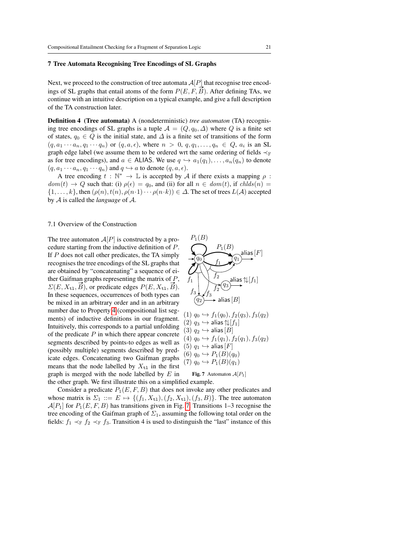#### <span id="page-20-0"></span>7 Tree Automata Recognising Tree Encodings of SL Graphs

Next, we proceed to the construction of tree automata  $A[P]$  that recognise tree encodings of SL graphs that entail atoms of the form  $P(E, F, \vec{B})$ . After defining TAs, we continue with an intuitive description on a typical example, and give a full description of the TA construction later.

Definition 4 (Tree automata) A (nondeterministic) *tree automaton* (TA) recognising tree encodings of SL graphs is a tuple  $A = (Q, q_0, \Delta)$  where Q is a finite set of states,  $q_0 \in Q$  is the initial state, and  $\Delta$  is a finite set of transitions of the form  $(q, a_1 \cdots a_n, q_1 \cdots q_n)$  or  $(q, a, \epsilon)$ , where  $n > 0$ ,  $q, q_1, \ldots, q_n \in Q$ ,  $a_i$  is an SL graph edge label (we assume them to be ordered wrt the same ordering of fields  $\prec_{\mathbb{F}}$ as for tree encodings), and  $a \in$  ALIAS. We use  $q \hookrightarrow a_1(q_1), \ldots, a_n(q_n)$  to denote  $(q, a_1 \cdots a_n, q_1 \cdots q_n)$  and  $q \hookrightarrow a$  to denote  $(q, a, \epsilon)$ .

A tree encoding  $t : \mathbb{N}^* \to \mathbb{L}$  is accepted by A if there exists a mapping  $\rho$ :  $dom(t) \rightarrow Q$  such that: (i)  $\rho(\epsilon) = q_0$ , and (ii) for all  $n \in dom(t)$ , if  $chlds(n) =$  $\{1,\ldots,k\}$ , then  $(\rho(n), t(n), \rho(n\cdot 1)\cdots \rho(n\cdot k)) \in \Delta$ . The set of trees  $L(\mathcal{A})$  accepted by A is called the *language* of A.

#### 7.1 Overview of the Construction

The tree automaton  $A[P]$  is constructed by a procedure starting from the inductive definition of P. If P does not call other predicates, the TA simply recognises the tree encodings of the SL graphs that are obtained by "concatenating" a sequence of either Gaifman graphs representing the matrix of P, ther Gairman graphs representing the matrix of P,<br> $\Sigma(E, X_{t1}, \vec{B})$ , or predicate edges  $P(E, X_{t1}, \vec{B})$ . In these sequences, occurrences of both types can be mixed in an arbitrary order and in an arbitrary number due to Property [4](#page-9-0) (compositional list segments) of inductive definitions in our fragment. Intuitively, this corresponds to a partial unfolding of the predicate  $P$  in which there appear concrete segments described by points-to edges as well as (possibly multiple) segments described by predicate edges. Concatenating two Gaifman graphs means that the node labelled by  $X_{t1}$  in the first graph is merged with the node labelled by  $E$  in the other graph. We first illustrate this on a simplified example.



$$
(1) q_0 \hookrightarrow f_1(q_0), f_2(q_3), f_3(q_2)
$$
  
\n
$$
(2) q_3 \hookrightarrow \text{alias } [\downarrow f_1]
$$
  
\n
$$
(3) q_2 \hookrightarrow \text{alias } [B]
$$
  
\n
$$
(4) q_0 \hookrightarrow f_1(q_1), f_2(q_1), f_3(q_2)
$$
  
\n
$$
(5) q_1 \hookrightarrow \text{alias } [F]
$$
  
\n
$$
(6) q_0 \hookrightarrow P_1(B)(q_0)
$$
  
\n
$$
(7) q_0 \hookrightarrow P_1(B)(q_1)
$$

<span id="page-20-1"></span>**Fig. 7** Automaton 
$$
\mathcal{A}[P_1]
$$

Consider a predicate  $P_1(E, F, B)$  that does not invoke any other predicates and whose matrix is  $\Sigma_1 ::= E \mapsto \{(f_1, X_{t1}), (f_2, X_{t1}), (f_3, B)\}.$  The tree automaton  $\mathcal{A}[P_1]$  for  $P_1(E, F, B)$  has transitions given in Fig. [7.](#page-20-1) Transitions 1–3 recognise the tree encoding of the Gaifman graph of  $\Sigma_1$ , assuming the following total order on the fields:  $f_1 \prec_{\mathbb{F}} f_2 \prec_{\mathbb{F}} f_3$ . Transition 4 is used to distinguish the "last" instance of this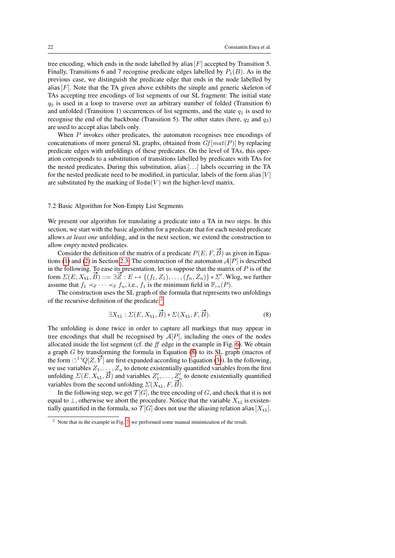tree encoding, which ends in the node labelled by alias  $[F]$  accepted by Transition 5. Finally, Transitions 6 and 7 recognise predicate edges labelled by  $P_1(B)$ . As in the previous case, we distinguish the predicate edge that ends in the node labelled by alias  $[F]$ . Note that the TA given above exhibits the simple and generic skeleton of TAs accepting tree encodings of list segments of our SL fragment: The initial state  $q_0$  is used in a loop to traverse over an arbitrary number of folded (Transition 6) and unfolded (Transition 1) occurrences of list segments, and the state  $q_1$  is used to recognise the end of the backbone (Transition 5). The other states (here,  $q_2$  and  $q_3$ ) are used to accept alias labels only.

When P invokes other predicates, the automaton recognises tree encodings of concatenations of more general SL graphs, obtained from  $Gf[mat(P)]$  by replacing predicate edges with unfoldings of these predicates. On the level of TAs, this operation corresponds to a substitution of transitions labelled by predicates with TAs for the nested predicates. During this substitution, alias  $[\ldots]$  labels occurring in the TA for the nested predicate need to be modified, in particular, labels of the form alias [V] are substituted by the marking of  $\text{Node}(V)$  wrt the higher-level matrix.

## <span id="page-21-2"></span>7.2 Basic Algorithm for Non-Empty List Segments

We present our algorithm for translating a predicate into a TA in two steps. In this section, we start with the basic algorithm for a predicate that for each nested predicate allows *at least one* unfolding, and in the next section, we extend the construction to allow *empty* nested predicates.

Consider the definition of the matrix of a predicate  $P(E, F, \overline{B})$  as given in Equa-tions [\(1\)](#page-5-2) and [\(2\)](#page-7-0) in Section [2.3.](#page-5-0) The construction of the automaton  $A[P]$  is described in the following. To ease its presentation, let us suppose that the matrix of  $P$  is of the in the rollowing. To ease its presentation, let us suppose that the matrix or P is or the form  $\Sigma(E, X_{t_1}, \vec{B}) ::= \exists \vec{Z} : E \mapsto \{(f_1, Z_1), \dots, (f_n, Z_n)\} * \Sigma'$ . Wlog, we further assume that  $f_1 \prec_{\mathbb{F}} \cdots \prec_{\mathbb{F}} f_n$ , i.e.,  $f_1$  is the minimum field in  $\mathbb{F}_{\mapsto}(P)$ .

The construction uses the SL graph of the formula that represents two unfoldings of the recursive definition of the predicate:[2](#page-21-0)

<span id="page-21-1"></span>
$$
\exists X_{\mathtt{tl}} : \Sigma(E, X_{\mathtt{tl}}, \vec{B}) * \Sigma(X_{\mathtt{tl}}, F, \vec{B}).
$$
\n(8)

The unfolding is done twice in order to capture all markings that may appear in tree encodings that shall be recognised by  $A[P]$ , including the ones of the nodes allocated inside the list segment (cf. the  $ff$  edge in the example in Fig. [6\)](#page-17-1). We obtain a graph G by transforming the formula in Equation [\(8\)](#page-21-1) to its SL graph (macros of the form  $\circlearrowleft^1+Q[Z, Y]$  are first expanded according to Equation [\(3\)](#page-7-1)). In the following, we use variables  $Z_1, \ldots, Z_n$  to denote existentially quantified variables from the first we use variables  $Z_1, \ldots, Z_n$  to denote existentially quantified variables from the first unfolding  $\Sigma(E, X_{t1}, \overline{B})$  and variables  $Z'_1, \ldots, Z'_n$  to denote existentially quantified variables from the second unfolding  $\Sigma(X_{t1}, F, B)$ .

In the following step, we get  $\mathcal{T}[G]$ , the tree encoding of G, and check that it is not equal to  $\perp$ , otherwise we abort the procedure. Notice that the variable  $X_{t1}$  is existentially quantified in the formula, so  $\mathcal{T}[G]$  does not use the aliasing relation alias  $[X_{t1}]$ .

<span id="page-21-0"></span><sup>&</sup>lt;sup>2</sup> Note that in the example in Fig. [7,](#page-20-1) we performed some manual minimization of the result.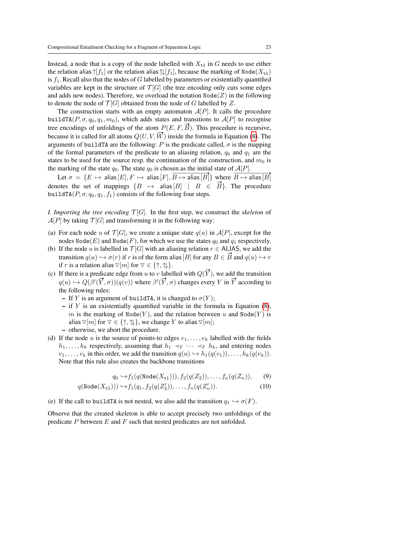Instead, a node that is a copy of the node labelled with  $X_{t1}$  in G needs to use either the relation alias  $\uparrow$ [f<sub>1</sub>] or the relation alias  $\uparrow \downarrow$ [f<sub>1</sub>], because the marking of Node( $X_{t1}$ ) is  $f_1$ . Recall also that the nodes of G labelled by parameters or existentially quantified variables are kept in the structure of  $\mathcal{T}[G]$  (the tree encoding only cuts some edges and adds new nodes). Therefore, we overload the notation  $\text{Node}(Z)$  in the following to denote the node of  $\mathcal{T}[G]$  obtained from the node of G labelled by Z.

The construction starts with an empty automaton  $A[P]$ . It calls the procedure buildTA( $P, \sigma, q_0, q_1, m_0$ ), which adds states and transitions to  $A[P]$  to recognise tree encodings of unfoldings of the atom  $P(E, F, \vec{B})$ . This procedure is recursive, because it is called for all atoms  $Q(U, V, \overrightarrow{W})$  inside the formula in Equation [\(8\)](#page-21-1). The arguments of buildTA are the following: P is the predicate called,  $\sigma$  is the mapping of the formal parameters of the predicate to an aliasing relation,  $q_0$  and  $q_1$  are the states to be used for the source resp. the continuation of the construction, and  $m_0$  is the marking of the state  $q_0$ . The state  $q_0$  is chosen as the initial state of  $\mathcal{A}[P]$ .  $\frac{A|I|}{\cdot}$ 

Let  $\sigma \,=\, \{E \,\mapsto\, \mathsf{alias}\,[E], F \,\mapsto\, \mathsf{alias}\,[F], B \mapsto \mathsf{alias}\,[B]\}$  where  $B \mapsto$  alias  $[B]$ Let  $o = \{E \mapsto \text{dual}_E[E], F \mapsto \text{dual}_E[F], D \mapsto \text{dual}_E[B]\}$  where  $D \mapsto \text{dual}_E[D]$ .<br>denotes the set of mappings  $\{B \mapsto \text{alias}[B] \mid B \in \overrightarrow{B}\}$ . The procedure buildTA( $P, \sigma, q_0, q_1, f_1$ ) consists of the following four steps.

*I. Importing the tree encoding*  $\mathcal{T}[G]$ . In the first step, we construct the *skeleton* of  $\mathcal{A}[P]$  by taking  $\mathcal{T}[G]$  and transforming it in the following way:

- (a) For each node u of  $\mathcal{T}[G]$ , we create a unique state  $q(u)$  in  $\mathcal{A}[P]$ , except for the nodes  $\text{Node}(E)$  and  $\text{Node}(F)$ , for which we use the states  $q_0$  and  $q_1$  respectively.
- (b) If the node u is labelled in  $\mathcal{T}[G]$  with an aliasing relation  $r \in$  ALIAS, we add the transition  $q(u) \hookrightarrow \sigma(r)$  if r is of the form alias [B] for any  $B \in \vec{B}$  and  $q(u) \hookrightarrow r$ if r is a relation alias  $\nabla[m]$  for  $\nabla \in \{\uparrow, \uparrow\downarrow\}.$
- (c) If there is a predicate edge from u to v labelled with  $Q(\vec{Y})$ , we add the transition There is a predicate edge from u to v labelled with  $Q(T)$ , we add the transition  $q(u) \hookrightarrow Q(\beta'(\vec{Y}, \sigma))(q(v))$  where  $\beta'(\vec{Y}, \sigma)$  changes every Y in  $\vec{Y}$  according to the following rules:
	- If Y is an argument of buildTA, it is changed to  $\sigma(Y)$ ;
	- $-$  if Y is an existentially quantified variable in the formula in Equation [\(8\)](#page-21-1), m is the marking of Node(Y), and the relation between u and Node(Y) is alias  $\nabla[m]$  for  $\nabla \in \{\uparrow, \uparrow\downarrow\}$ , we change Y to alias  $\nabla[m]$ ;
	- otherwise, we abort the procedure.
- (d) If the node u is the source of points-to edges  $e_1, \ldots, e_k$  labelled with the fields  $h_1, \ldots, h_k$  respectively, assuming that  $h_1 \prec_{\mathbb{F}} \cdots \prec_{\mathbb{F}} h_k$ , and entering nodes  $v_1, \ldots, v_k$  in this order, we add the transition  $q(u) \hookrightarrow h_1(q(v_1)), \ldots, h_k(q(v_k)).$ Note that this rule also creates the backbone transitions

$$
q_0 \hookrightarrow f_1(q(\text{Node}(X_{t1}))), f_2(q(Z_2)), \dots, f_n(q(Z_n)), \qquad (9)
$$

$$
q(\text{Node}(X_{t1}))) \hookrightarrow f_1(q_1, f_2(q(Z'_1)), \dots, f_n(q(Z'_n)).
$$
\n(10)

(e) If the call to buildTA is not nested, we also add the transition  $q_1 \hookrightarrow \sigma(F)$ .

Observe that the created skeleton is able to accept precisely two unfoldings of the predicate  $P$  between  $E$  and  $F$  such that nested predicates are not unfolded.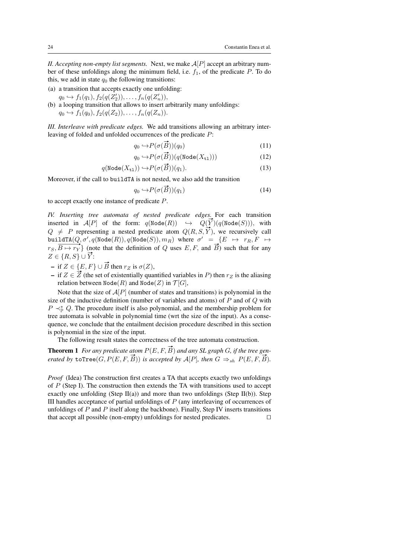*II. Accepting non-empty list segments.* Next, we make  $A[P]$  accept an arbitrary number of these unfoldings along the minimum field, i.e.  $f_1$ , of the predicate P. To do this, we add in state  $q_0$  the following transitions:

- (a) a transition that accepts exactly one unfolding:
- $q_0 \hookrightarrow f_1(q_1), f_2(q(Z'_2)), \ldots, f_n(q(Z'_n)),$ (b) a looping transition that allows to insert arbitrarily many unfoldings:
- $q_0 \hookrightarrow f_1(q_0), f_2(q(Z_2)), \ldots, f_n(q(Z_n)).$

*III. Interleave with predicate edges.* We add transitions allowing an arbitrary interleaving of folded and unfolded occurrences of the predicate P:

$$
q_0 \hookrightarrow P(\sigma(\vec{B})) \tag{11}
$$

$$
q_0 \hookrightarrow P(\sigma(\vec{B})) (q(\text{Node}(X_{t1}))) \tag{12}
$$

$$
q(\text{Node}(X_{t1})) \hookrightarrow P(\sigma(\vec{B}))(q_1).
$$
\n(13)

Moreover, if the call to buildTA is not nested, we also add the transition

$$
q_0 \hookrightarrow P(\sigma(\vec{B}))(q_1) \tag{14}
$$

to accept exactly one instance of predicate P.

*IV. Inserting tree automata of nested predicate edges.* For each transition *IV. Inserting tree automata of nested preatcate eages*. For each transition inserted in  $A[P]$  of the form:  $q(\text{Node}(R)) \rightarrow Q(\overline{Y})(q(\text{Node}(S))),$  with  $Q \neq P$  representing a nested predicate atom  $Q(R, S, \vec{Y})$ , we recursively call buildTA $(Q, \sigma', q(\texttt{Node}(R)), q(\texttt{Node}(S)), m_R)$  where  $\sigma' = \{E \mapsto r_R, F \mapsto$ but  $\lim_{r \to \infty}$   $R(\text{node}(R))$ ,  $q(\text{node}(S))$ ,  $m_R$  where  $\sigma = \{E \mapsto r_R, r \mapsto r_S, \overline{B \mapsto r_Y}\}$  (note that the definition of Q uses E, F, and  $\overrightarrow{B}$ ) such that for any  $Z \in \{R, S\} \cup \overrightarrow{Y}$ :

- if  $Z \in \{E, F\}$  ∪  $\overrightarrow{B}$  then  $r_Z$  is  $\sigma(Z)$ ,
- $-$  if  $Z \in \{E, F\}$   $\cup$  *B* then  $r_Z$  is  $o(Z)$ ,<br>  $-$  if  $Z \in \overline{Z}$  (the set of existentially quantified variables in *P*) then  $r_Z$  is the aliasing relation between  $\text{Node}(R)$  and  $\text{Node}(Z)$  in  $\mathcal{T}[G]$ ,

Note that the size of  $A[P]$  (number of states and transitions) is polynomial in the size of the inductive definition (number of variables and atoms) of  $P$  and of  $Q$  with  $P \prec_{\mathbb{P}}^* Q$ . The procedure itself is also polynomial, and the membership problem for tree automata is solvable in polynomial time (wrt the size of the input). As a consequence, we conclude that the entailment decision procedure described in this section is polynomial in the size of the input.

The following result states the correctness of the tree automata construction.

<span id="page-23-0"></span>**Theorem 1** For any predicate atom  $P(E, F, \vec{B})$  and any SL graph G, if the tree gen*erated by*  $\text{toTree}(G, P(E, F, \vec{B}))$  *is accepted by*  $\mathcal{A}[P]$ *, then*  $G \Rightarrow_{sh} P(E, F, \vec{B})$ *.* 

*Proof* (Idea) The construction first creates a TA that accepts exactly two unfoldings of P (Step I). The construction then extends the TA with transitions used to accept exactly one unfolding (Step II(a)) and more than two unfoldings (Step II(b)). Step III handles acceptance of partial unfoldings of  $P$  (any interleaving of occurrences of unfoldings of  $P$  and  $P$  itself along the backbone). Finally, Step IV inserts transitions that accept all possible (non-empty) unfoldings for nested predicates.  $\Box$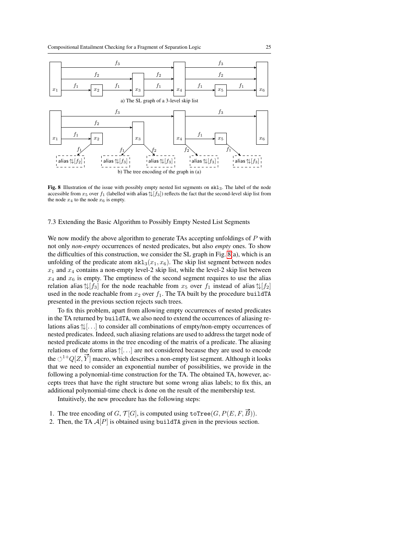

<span id="page-24-0"></span>Fig. 8 Illustration of the issue with possibly empty nested list segments on skl3. The label of the node accessible from  $x_5$  over  $f_1$  (labelled with alias  $\sqrt{f_3}$ ) reflects the fact that the second-level skip list from the node  $x_4$  to the node  $x_6$  is empty.

#### <span id="page-24-1"></span>7.3 Extending the Basic Algorithm to Possibly Empty Nested List Segments

We now modify the above algorithm to generate TAs accepting unfoldings of P with not only *non-empty* occurrences of nested predicates, but also *empty* ones. To show the difficulties of this construction, we consider the SL graph in Fig. [8\(](#page-24-0)a), which is an unfolding of the predicate atom  $\text{skl}_3(x_1, x_6)$ . The skip list segment between nodes  $x_1$  and  $x_4$  contains a non-empty level-2 skip list, while the level-2 skip list between  $x_4$  and  $x_6$  is empty. The emptiness of the second segment requires to use the alias relation alias  $\mathcal{L}[f_3]$  for the node reachable from  $x_5$  over  $f_1$  instead of alias  $\mathcal{L}[f_2]$ used in the node reachable from  $x_2$  over  $f_1$ . The TA built by the procedure buildTA presented in the previous section rejects such trees.

To fix this problem, apart from allowing empty occurrences of nested predicates in the TA returned by buildTA, we also need to extend the occurrences of aliasing relations alias ↑↓[. . .] to consider all combinations of empty/non-empty occurrences of nested predicates. Indeed, such aliasing relations are used to address the target node of nested predicate atoms in the tree encoding of the matrix of a predicate. The aliasing relations of the form alias ↑[. . .] are not considered because they are used to encode the  $\circlearrowleft^{1+}Q[Z, \vec{Y}]$  macro, which describes a non-empty list segment. Although it looks that we need to consider an exponential number of possibilities, we provide in the following a polynomial-time construction for the TA. The obtained TA, however, accepts trees that have the right structure but some wrong alias labels; to fix this, an additional polynomial-time check is done on the result of the membership test.

Intuitively, the new procedure has the following steps:

- 1. The tree encoding of G,  $\mathcal{T}[G]$ , is computed using toTree $(G, P(E, F, \overline{B}))$ .
- 2. Then, the TA  $A[P]$  is obtained using buildTA given in the previous section.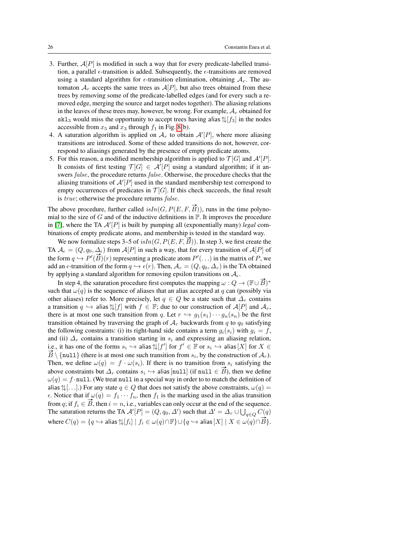- 3. Further,  $\mathcal{A}[P]$  is modified in such a way that for every predicate-labelled transition, a parallel  $\epsilon$ -transition is added. Subsequently, the  $\epsilon$ -transitions are removed using a standard algorithm for  $\epsilon$ -transition elimination, obtaining  $A_r$ . The automaton  $A_r$  accepts the same trees as  $A[P]$ , but also trees obtained from these trees by removing some of the predicate-labelled edges (and for every such a removed edge, merging the source and target nodes together). The aliasing relations in the leaves of these trees may, however, be wrong. For example,  $A_r$  obtained for skl<sub>3</sub> would miss the opportunity to accept trees having alias  $\left|\frac{1}{s_3}\right|$  in the nodes accessible from  $x_5$  and  $x_3$  through  $f_1$  in Fig. [8\(](#page-24-0)b).
- 4. A saturation algorithm is applied on  $A_r$  to obtain  $A'[P]$ , where more aliasing transitions are introduced. Some of these added transitions do not, however, correspond to aliasings generated by the presence of empty predicate atoms.
- 5. For this reason, a modified membership algorithm is applied to  $\mathcal{T}[G]$  and  $\mathcal{A}'[P]$ . It consists of first testing  $\mathcal{T}[G] \in \mathcal{A}'[P]$  using a standard algorithm; if it answers *false*, the procedure returns *false*. Otherwise, the procedure checks that the aliasing transitions of  $A'[P]$  used in the standard membership test correspond to empty occurrences of predicates in  $\mathcal{T}[G]$ . If this check succeeds, the final result is true; otherwise the procedure returns false.

The above procedure, further called  $isIn(G, P(E, F, \vec{B}))$ , runs in the time polynomial to the size of  $G$  and of the inductive definitions in  $\mathbb P$ . It improves the procedure in [\[7\]](#page-31-15), where the TA  $\mathcal{A}'[P]$  is built by pumping all (exponentially many) *legal* combinations of empty predicate atoms, and membership is tested in the standard way.

We now formalize steps 3–5 of  $isIn(G, P(E, F, \overrightarrow{B}))$ . In step 3, we first create the TA  $A_{\epsilon} = (Q, q_0, \Delta_{\epsilon})$  from  $A[P]$  in such a way, that for every transition of  $A[P]$  of  $H A \mathcal{A}_{\epsilon} = (\mathcal{Q}, q_0, \Delta_{\epsilon})$  from  $\mathcal{A}[F]$  in such a way, that for every transition of  $\mathcal{A}[F]$  or<br>the form  $q \hookrightarrow P'(\vec{B})(r)$  representing a predicate atom  $P'(\ldots)$  in the matrix of P, we add an  $\epsilon$ -transition of the form  $q \hookrightarrow \epsilon(r)$ . Then,  $\mathcal{A}_r = (Q, q_0, \Delta_r)$  is the TA obtained by applying a standard algorithm for removing epsilon transitions on  $A_{\epsilon}$ .

In step 4, the saturation procedure first computes the mapping  $\omega : Q \to (\mathbb{F} \cup \vec{B})^*$ such that  $\omega(q)$  is the sequence of aliases that an alias accepted at q can (possibly via other aliases) refer to. More precisely, let  $q \in Q$  be a state such that  $\Delta_r$  contains a transition  $q \hookrightarrow$  alias  $\uparrow \downarrow [f]$  with  $f \in \mathbb{F}$ ; due to our construction of  $\mathcal{A}[P]$  and  $\mathcal{A}_r$ , there is at most one such transition from q. Let  $r \hookrightarrow g_1(s_1) \cdots g_n(s_n)$  be the first transition obtained by traversing the graph of  $A_r$  backwards from q to  $q_0$  satisfying the following constraints: (i) its right-hand side contains a term  $g_i(s_i)$  with  $g_i = f$ , and (ii)  $\Delta_r$  contains a transition starting in  $s_i$  and expressing an aliasing relation, i.e., it has one of the forms  $s_i \hookrightarrow$  alias  $\mathcal{F}[f']$  for  $f' \in \mathbb{F}$  or  $s_i \hookrightarrow$  alias  $[X]$  for  $X \in$  $\overrightarrow{B} \setminus \{\text{null}\}\$  (there is at most one such transition from  $s_i$ , by the construction of  $\mathcal{A}_r$ ). Then, we define  $\omega(q) = f \cdot \omega(s_i)$ . If there is no transition from  $s_i$  satisfying the Then, we define  $\omega(q) = f \cdot \omega(s_i)$ . If there is no transition from  $s_i$  satisfying the above constraints but  $\Delta_r$  contains  $s_i \leftrightarrow$  alias [null] (if null  $\in \vec{B}$ ), then we define  $\omega(q) = f \cdot \text{null}$ . (We treat null in a special way in order to to match the definition of alias  $\uparrow\downarrow$ [...].) For any state  $q \in Q$  that does not satisfy the above constraints,  $\omega(q)$  =  $\epsilon$ . Notice that if  $\omega(q) = f_1 \cdots f_n$ , then  $f_1$  is the marking used in the alias transition  $\epsilon$ . Notice that if  $\omega(q) = f_1 \cdots f_n$ , then  $f_1$  is the marking used in the and of the sequence.<br>from q; if  $f_i \in \vec{B}$ , then  $i = n$ , i.e., variables can only occur at the end of the sequence. The saturation returns the TA  $\mathcal{A}'[P] = (Q, q_0, \Delta')$  such that  $\Delta' = \Delta_r \cup \bigcup_{q \in Q} C(q)$ where  $C(q) = \{q \mapsto \text{alias } \uparrow \downarrow [f_i] \mid f_i \in \omega(q) \cap \mathbb{F}\} \cup \{q \mapsto \text{alias}[X] \mid X \in \omega(q) \cap \mathbb{F}\}.$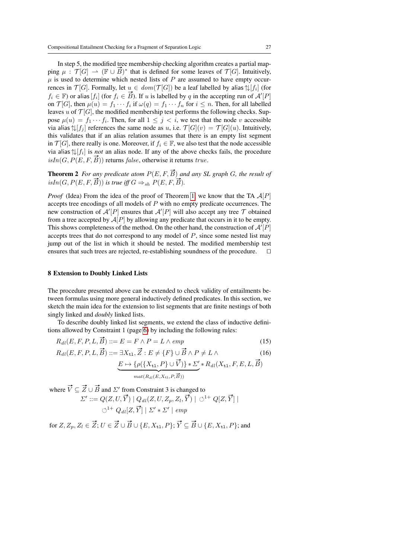In step 5, the modified tree membership checking algorithm creates a partial mapin step 5, the modified tree membership checking algorithm creates a partial mapping  $\mu : \mathcal{T}[G] \to (\mathbb{F} \cup \vec{B})^*$  that is defined for some leaves of  $\mathcal{T}[G]$ . Intuitively,  $\mu$  is used to determine which nested lists of  $P$  are assumed to have empty occurrences in  $\mathcal{T}[G]$ . Formally, let  $u \in dom(\mathcal{T}[G])$  be a leaf labelled by alias  $\uparrow\downarrow[f_i]$  (for fields in  $f_i$  [G]. Formally, let  $u \in dom(f[\mathbf{G}])$  be a lear fabelled by and  $\forall [J_i]$  (for  $f_i \in \mathbb{F}$ ) or alias  $[f_i]$  (for  $f_i \in \mathbb{F}$ ). If u is labelled by q in the accepting run of  $\mathcal{A}'[P]$ on  $\mathcal{T}[G]$ , then  $\mu(u) = f_1 \cdots f_i$  if  $\omega(q) = f_1 \cdots f_n$  for  $i \leq n$ . Then, for all labelled leaves u of  $\mathcal{T}[G]$ , the modified membership test performs the following checks. Suppose  $\mu(u) = f_1 \cdots f_i$ . Then, for all  $1 \leq j \leq i$ , we test that the node v accessible via alias  $\mathcal{L}[f_i]$  references the same node as u, i.e.  $\mathcal{T}[G](v) = \mathcal{T}[G](u)$ . Intuitively, this validates that if an alias relation assumes that there is an empty list segment in  $\mathcal{T}[G]$ , there really is one. Moreover, if  $f_i \in \mathbb{F}$ , we also test that the node accessible via alias  $\sqrt[n]{[f_i]}$  is *not* an alias node. If any of the above checks fails, the procedure  $isIn(G, P(E, F, \overline{B}))$  returns false, otherwise it returns true.

<span id="page-26-2"></span>**Theorem 2** *For any predicate atom*  $P(E, F, \vec{B})$  *and any SL graph G*, *the result of* **i i**sIn(G,  $P(E, F, \vec{B})$ ) is true iff  $G \Rightarrow_{sh} P(E, F, \vec{B})$ .

*Proof* (Idea) From the idea of the proof of Theorem [1,](#page-23-0) we know that the TA  $A[P]$ accepts tree encodings of all models of P with no empty predicate occurrences. The new construction of  $\mathcal{A}'[P]$  ensures that  $\mathcal{A}'[P]$  will also accept any tree  $\mathcal T$  obtained from a tree accepted by  $A[P]$  by allowing any predicate that occurs in it to be empty. This shows completeness of the method. On the other hand, the construction of  $\mathcal{A}'[P]$ accepts trees that do not correspond to any model of  $P$ , since some nested list may jump out of the list in which it should be nested. The modified membership test ensures that such trees are rejected, re-establishing soundness of the procedure.  $\square$ 

#### <span id="page-26-0"></span>8 Extension to Doubly Linked Lists

The procedure presented above can be extended to check validity of entailments between formulas using more general inductively defined predicates. In this section, we sketch the main idea for the extension to list segments that are finite nestings of both singly linked and *doubly* linked lists.

To describe doubly linked list segments, we extend the class of inductive definitions allowed by Constraint 1 (page [6\)](#page-5-2) by including the following rules:

$$
R_{dl}(E, F, P, L, \vec{B}) ::= E = F \wedge P = L \wedge emp \tag{15}
$$

$$
R_{dl}(E, F, P, L, \vec{B}) ::= \exists X_{t1}, \vec{Z} : E \neq \{F\} \cup \vec{B} \land P \neq L \land
$$
\n
$$
E \mapsto \{\rho(\{X_{t1}, P\} \cup \vec{V})\} * \Sigma' * R_{dl}(X_{t1}, F, E, L, \vec{B})
$$
\n(16)

<span id="page-26-1"></span>
$$
L \mapsto \{p(\{X_{t1}, I \mid J \cup V)f * \Delta \} * \mathcal{H}_{d}(\{X_{t1}, I, L, L, L, L\})
$$
  
 
$$
mat(R_{d}(E, X_{t1}, P, \vec{B}))
$$

where  $\vec{V} \subseteq \vec{Z} \cup \vec{B}$  and  $\Sigma'$  from Constraint 3 is changed to  $\Sigma' ::= Q(Z, U, \vec{Y}) | Q_{dl}(Z, U, Z_p, Z_l, \vec{Y}) | \circlearrowleft$ 

$$
\Sigma' := Q(Z, U, \vec{Y}) \mid Q_{dl}(Z, U, Z_p, Z_l, \vec{Y}) \mid \bigcirc^{1+} Q[Z, \vec{Y}] \mid
$$
  

$$
\bigcirc^{1+} Q_{dl}[Z, \vec{Y}] \mid \Sigma' * \Sigma' \mid emp
$$

for  $Z, Z_p, Z_l \in \vec{Z}; U \in \vec{Z} \cup \vec{B} \cup \{E, X_{t1}, P\}; \vec{Y} \subseteq \vec{B} \cup \{E, X_{t1}, P\};$  and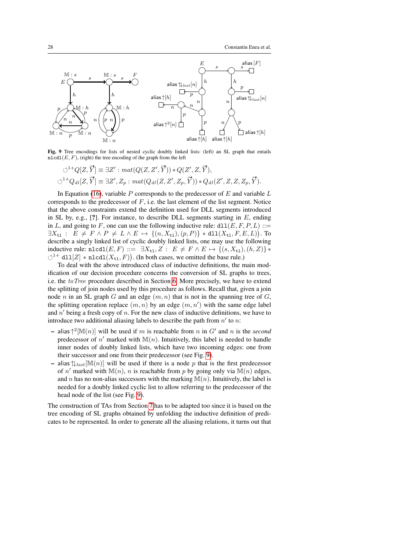

Fig. 9 Tree encodings for lists of nested cyclic doubly linked lists: (left) an SL graph that entails  $nlcdL(E, F)$ , (right) the tree encoding of the graph from the left

<span id="page-27-0"></span>
$$
\circlearrowleft^{1+}Q[Z,\vec{Y}] \equiv \exists Z': mat(Q(Z,Z',\vec{Y})) * Q(Z',Z,\vec{Y}),
$$
  

$$
\circlearrowleft^{1+}Q_{dl}[Z,\vec{Y}] \equiv \exists Z',Z_p: mat(Q_{dl}(Z,Z',Z_p,\vec{Y})) * Q_{dl}(Z',Z,Z,Z_p,\vec{Y}).
$$

In Equation [\(16\)](#page-26-1), variable P corresponds to the predecessor of  $E$  and variable  $L$ corresponds to the predecessor of  $F$ , i.e. the last element of the list segment. Notice that the above constraints extend the definition used for DLL segments introduced in SL by, e.g.,  $[?]$ . For instance, to describe DLL segments starting in  $E$ , ending in L, and going to F, one can use the following inductive rule:  $d11(E, F, P, L) ::=$  $\exists X_{\mathtt{tl}}: E \neq F \land P \neq L \land E \mapsto \{(n, X_{\mathtt{tl}}), (p, P)\} * \mathtt{dll}(X_{\mathtt{tl}}, F, E, L)).$  To describe a singly linked list of cyclic doubly linked lists, one may use the following inductive rule: nlcdl $(E, F) ::= \exists X_{t1}, Z : E \neq F \land E \mapsto \{(s, X_{t1}), (h, Z)\} *$  $\circlearrowleft^{1+}$  dll $[Z]$  \* nlcdl $(X_{t_1}, F)$ ). (In both cases, we omitted the base rule.)

To deal with the above introduced class of inductive definitions, the main modification of our decision procedure concerns the conversion of SL graphs to trees, i.e. the  $toTree$  procedure described in Section [6.](#page-17-0) More precisely, we have to extend the splitting of join nodes used by this procedure as follows. Recall that, given a join node n in an SL graph G and an edge  $(m, n)$  that is not in the spanning tree of G, the splitting operation replace  $(m, n)$  by an edge  $(m, n')$  with the same edge label and  $n'$  being a fresh copy of n. For the new class of inductive definitions, we have to introduce two additional aliasing labels to describe the path from  $n'$  to  $n$ :

- $-$  alias  $\uparrow^2$ [M $(n)$ ] will be used if m is reachable from n in G' and n is the *second* predecessor of n' marked with  $\mathbb{M}(n)$ . Intuitively, this label is needed to handle inner nodes of doubly linked lists, which have two incoming edges: one from their successor and one from their predecessor (see Fig. [9\)](#page-27-0).
- alias  $\mathcal{L}_{last}[\mathbb{M}(n)]$  will be used if there is a node p that is the first predecessor of n' marked with  $M(n)$ , n is reachable from p by going only via  $M(n)$  edges, and n has no non-alias successors with the marking  $M(n)$ . Intuitively, the label is needed for a doubly linked cyclic list to allow referring to the predecessor of the head node of the list (see Fig. [9\)](#page-27-0).

The construction of TAs from Section [7](#page-20-0) has to be adapted too since it is based on the tree encoding of SL graphs obtained by unfolding the inductive definition of predicates to be represented. In order to generate all the aliasing relations, it turns out that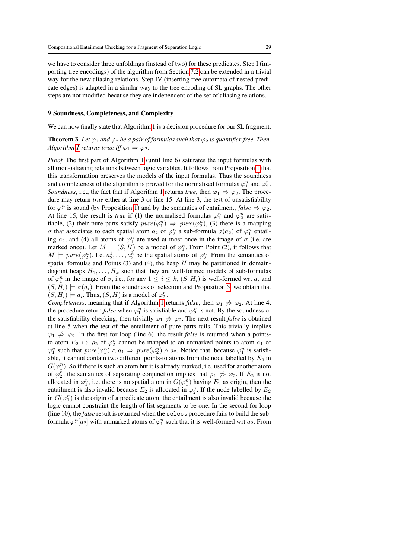we have to consider three unfoldings (instead of two) for these predicates. Step I (importing tree encodings) of the algorithm from Section [7.2](#page-21-2) can be extended in a trivial way for the new aliasing relations. Step IV (inserting tree automata of nested predicate edges) is adapted in a similar way to the tree encoding of SL graphs. The other steps are not modified because they are independent of the set of aliasing relations.

#### <span id="page-28-0"></span>9 Soundness, Completeness, and Complexity

We can now finally state that Algorithm [1](#page-11-0) is a decision procedure for our SL fragment.

## **Theorem 3** Let  $\varphi_1$  and  $\varphi_2$  be a pair of formulas such that  $\varphi_2$  is quantifier-free. Then, *Algorithm [1](#page-11-0) returns true iff*  $\varphi_1 \Rightarrow \varphi_2$ *.*

*Proof* The first part of Algorithm [1](#page-11-0) (until line 6) saturates the input formulas with all (non-)aliasing relations between logic variables. It follows from Proposition [1](#page-14-2) that this transformation preserves the models of the input formulas. Thus the soundness and completeness of the algorithm is proved for the normalised formulas  $\varphi_1^n$  and  $\varphi_2^n$ . *Soundness*, i.e., the fact that if Algorithm [1](#page-11-0) returns *true*, then  $\varphi_1 \Rightarrow \varphi_2$ . The procedure may return *true* either at line 3 or line 15. At line 3, the test of unsatisfiability for  $\varphi_1^n$  is sound (by Proposition [1\)](#page-14-2) and by the semantics of entailment,  $false \Rightarrow \varphi_2$ . At line 15, the result is *true* if (1) the normalised formulas  $\varphi_1^n$  and  $\varphi_2^n$  are satisfiable, (2) their pure parts satisfy  $pure(\varphi_1^n) \Rightarrow pure(\varphi_2^n)$ , (3) there is a mapping σ that associates to each spatial atom  $a_2$  of  $\varphi_2^n$  a sub-formula  $\sigma(a_2)$  of  $\varphi_1^n$  entailing  $a_2$ , and (4) all atoms of  $\varphi_1^n$  are used at most once in the image of  $\sigma$  (i.e. are marked once). Let  $M = (S, H)$  be a model of  $\varphi_1^n$ . From Point (2), it follows that  $M \models pure(\varphi_2^n)$ . Let  $a_2^1, \ldots, a_2^k$  be the spatial atoms of  $\varphi_2^n$ . From the semantics of spatial formulas and Points  $(3)$  and  $(4)$ , the heap H may be partitioned in domaindisjoint heaps  $H_1, \ldots, H_k$  such that they are well-formed models of sub-formulas of  $\varphi_1^n$  in the image of  $\sigma$ , i.e., for any  $1 \leq i \leq k$ ,  $(S, H_i)$  is well-formed wrt  $a_i$  and  $(S, H_i) \models \sigma(a_i)$ . From the soundness of selection and Proposition [5,](#page-19-0) we obtain that  $(S, H_i) \models a_i$ . Thus,  $(S, H)$  is a model of  $\varphi_2^n$ .

*Completeness*, meaning that if Algorithm [1](#page-11-0) returns *false*, then  $\varphi_1 \neq \varphi_2$ . At line 4, the procedure return *false* when  $\varphi_1^n$  is satisfiable and  $\varphi_2^n$  is not. By the soundness of the satisfiability checking, then trivially  $\varphi_1 \neq \varphi_2$ . The next result *false* is obtained at line 5 when the test of the entailment of pure parts fails. This trivially implies  $\varphi_1 \neq \varphi_2$ . In the first for loop (line 6), the result *false* is returned when a pointsto atom  $E_2 \mapsto \rho_2$  of  $\varphi_2^n$  cannot be mapped to an unmarked points-to atom  $a_1$  of  $\varphi_1^n$  such that  $pure(\varphi_1^n) \wedge a_1 \Rightarrow pure(\varphi_2^n) \wedge a_2$ . Notice that, because  $\varphi_1^n$  is satisfiable, it cannot contain two different points-to atoms from the node labelled by  $E_2$  in  $G(\varphi_1^n)$ . So if there is such an atom but it is already marked, i.e. used for another atom of  $\varphi_2^n$ , the semantics of separating conjunction implies that  $\varphi_1 \neq \varphi_2$ . If  $E_2$  is not allocated in  $\varphi_1^n$ , i.e. there is no spatial atom in  $G(\varphi_1^n)$  having  $E_2$  as origin, then the entailment is also invalid because  $E_2$  is allocated in  $\varphi_2^n$ . If the node labelled by  $E_2$ in  $G(\varphi_1^n)$  is the origin of a predicate atom, the entailment is also invalid because the logic cannot constraint the length of list segments to be one. In the second for loop (line 10), the *false* result is returned when the select procedure fails to build the subformula  $\varphi_1^n[a_2]$  with unmarked atoms of  $\varphi_1^n$  such that it is well-formed wrt  $a_2$ . From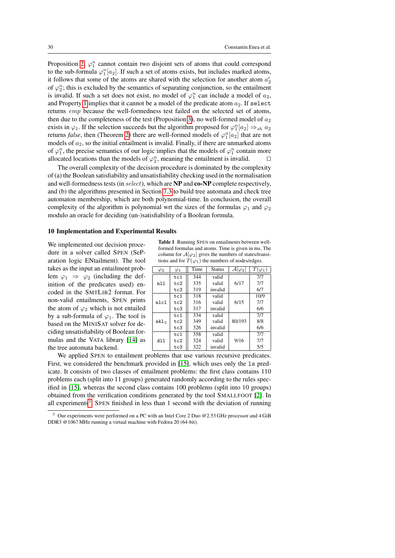Proposition [2,](#page-15-1)  $\varphi_1^n$  cannot contain two disjoint sets of atoms that could correspond to the sub-formula  $\varphi_1^n[a_2]$ . If such a set of atoms exists, but includes marked atoms, it follows that some of the atoms are shared with the selection for another atom  $a'_2$ of  $\varphi_2^n$ ; this is excluded by the semantics of separating conjunction, so the entailment is invalid. If such a set does not exist, no model of  $\varphi_1^n$  can include a model of  $a_2$ , and Property [1](#page-9-1) implies that it cannot be a model of the predicate atom  $a_2$ . If select returns emp because the well-formedness test failed on the selected set of atoms, then due to the completeness of the test (Proposition [3\)](#page-16-0), no well-formed model of  $a_2$ exists in  $\varphi_1$ . If the selection succeeds but the algorithm proposed for  $\varphi_1^n[a_2] \Rightarrow_{sh} a_2$ returns *false*, then (Theorem [2\)](#page-26-2) there are well-formed models of  $\varphi_1^n[a_2]$  that are not models of  $a_2$ , so the initial entailment is invalid. Finally, if there are unmarked atoms of  $\varphi_1^n$ , the precise semantics of our logic implies that the models of  $\varphi_1^n$  contain more allocated locations than the models of  $\varphi_2^n$ , meaning the entailment is invalid.

The overall complexity of the decision procedure is dominated by the complexity of (a) the Boolean satisfiability and unsatisfiability checking used in the normalisation and well-formedness tests (in select), which are NP and co-NP complete respectively, and (b) the algorithms presented in Section [7.3](#page-24-1) to build tree automata and check tree automaton membership, which are both polynomial-time. In conclusion, the overall complexity of the algorithm is polynomial wrt the sizes of the formulas  $\varphi_1$  and  $\varphi_2$ modulo an oracle for deciding (un-)satisfiability of a Boolean formula.

#### 10 Implementation and Experimental Results

We implemented our decision procedure in a solver called SPEN (SeParation logic ENtailment). The tool takes as the input an entailment problem  $\varphi_1 \Rightarrow \varphi_2$  (including the definition of the predicates used) encoded in the SMTLIB2 format. For non-valid entailments, SPEN prints the atom of  $\varphi_2$  which is not entailed by a sub-formula of  $\varphi_1$ . The tool is based on the MINISAT solver for deciding unsatisfiability of Boolean formulas and the VATA library [\[14\]](#page-31-16) as the tree automata backend.

<span id="page-29-1"></span>Table 1 Running SPEN on entailments between wellformed formulas and atoms. Time is given in ms. The column for  $A[\varphi_2]$  gives the numbers of states/transitions and for  $T(\varphi_1)$  the numbers of nodes/edges.

| $\varphi_2$      | $\varphi_1$ | Time | Status  | $\mathcal{A}[\varphi_2]$ | $T(\varphi_1)$ |
|------------------|-------------|------|---------|--------------------------|----------------|
|                  | tc1         | 344  | valid   |                          | 7/7            |
| nll              | tc2         | 335  | valid   | 6/17                     | 7/7            |
|                  | tc3         | 319  | invalid |                          | 6/7            |
|                  | tc1         | 318  | valid   |                          | 10/9           |
| nlcl             | tc2         | 316  | valid   | 6/15                     | 7/7            |
|                  | tc3         | 317  | invalid |                          | 6/6            |
|                  | tc1         | 334  | valid   |                          | 7/7            |
| skl <sub>3</sub> | tc2         | 349  | valid   | 80/193                   | 8/8            |
|                  | tc3         | 326  | invalid |                          | 6/6            |
|                  | tc1         | 358  | valid   |                          | 7/7            |
| dll              | tc2         | 324  | valid   | 9/16                     | 7/7            |
|                  | tc3         | 322  | invalid |                          | 5/5            |

We applied SPEN to entailment problems that use various recursive predicates. First, we considered the benchmark provided in [\[15\]](#page-31-11), which uses only the ls predicate. It consists of two classes of entailment problems: the first class contains 110 problems each (split into 11 groups) generated randomly according to the rules specified in [\[15\]](#page-31-11), whereas the second class contains 100 problems (split into 10 groups) obtained from the verification conditions generated by the tool SMALLFOOT [\[2\]](#page-31-17). In all experiments<sup>[3](#page-29-0)</sup>, SPEN finished in less than 1 second with the deviation of running

<span id="page-29-0"></span><sup>3</sup> Our experiments were performed on a PC with an Intel Core 2 Duo @2.53 GHz processor and 4 GiB DDR3 @1067 MHz running a virtual machine with Fedora 20 (64-bit).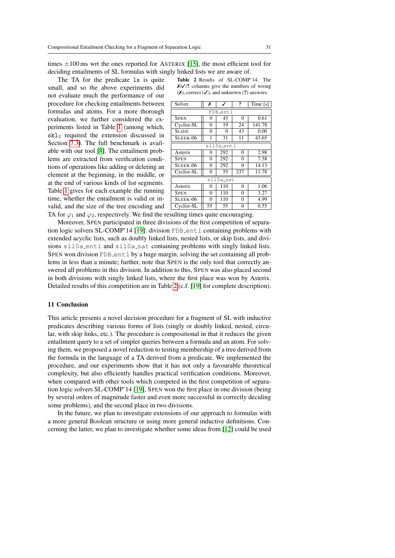times  $\pm 100$  ms wrt the ones reported for ASTERIX [\[15\]](#page-31-11), the most efficient tool for deciding entailments of SL formulas with singly linked lists we are aware of.

The TA for the predicate 1s is quite small, and so the above experiments did not evaluate much the performance of our procedure for checking entailments between formulas and atoms. For a more thorough evaluation, we further considered the experiments listed in Table [1](#page-29-1) (among which,  $skl<sub>3</sub>$  required the extension discussed in Section [7.3\)](#page-24-1). The full benchmark is available with our tool [\[8\]](#page-31-18). The entailment problems are extracted from verification conditions of operations like adding or deleting an element at the beginning, in the middle, or at the end of various kinds of list segments. Table [1](#page-29-1) gives for each example the running time, whether the entailment is valid or invalid, and the size of the tree encoding and

<span id="page-30-0"></span>Table 2 Results of SL-COMP'14. The  $X/\sqrt{2}$  columns give the numbers of wrong  $(X)$ , correct  $(V)$ , and unknown  $(?)$  answers.

| Solver       | х        |     | ?        | Time $[s]$ |  |  |
|--------------|----------|-----|----------|------------|--|--|
| FDB_entl     |          |     |          |            |  |  |
| <b>SPEN</b>  | 0        | 43  | $\theta$ | 0.61       |  |  |
| Cyclist-SL   | 0        | 19  | 24       | 141.78     |  |  |
| <b>SLIDE</b> | $\theta$ | 0   | 43       | 0.00       |  |  |
| SLEEK-06     | 1        | 31  | 11       | 43.65      |  |  |
| sll0a_entl   |          |     |          |            |  |  |
| Asterix      | $\theta$ | 292 | $\theta$ | 2.98       |  |  |
| <b>SPEN</b>  | $\theta$ | 292 | 0        | 7.58       |  |  |
| SLEEK-06     | 0        | 292 | 0        | 14.13      |  |  |
| Cyclist-SL   | 0        | 55  | 237      | 11.78      |  |  |
| sll0a_sat    |          |     |          |            |  |  |
| Asterix      | 0        | 110 | $\theta$ | 1.06       |  |  |
| <b>SPEN</b>  | $\Omega$ | 110 | 0        | 3.27       |  |  |
| SLEEK-06     | $\Omega$ | 110 | $\Omega$ | 4.99       |  |  |
| Cyclist-SL   | 55       | 55  | 0        | 0.55       |  |  |

TA for  $\varphi_1$  and  $\varphi_2$ , respectively. We find the resulting times quite encouraging.

Moreover, SPEN participated in three divisions of the first competition of separa-tion logic solvers SL-COMP'14 [\[19\]](#page-31-7): division FDB entl containing problems with extended acyclic lists, such as doubly linked lists, nested lists, or skip lists, and divisions sll0a\_entl and sll0a\_sat containing problems with singly linked lists. SPEN won division FDB entl by a huge margin, solving the set containing all problems in less than a minute; further, note that SPEN is the only tool that correctly answered all problems in this division. In addition to this, SPEN was also placed second in both divisions with singly linked lists, where the first place was won by Asterix. Detailed results of this competition are in Table [2](#page-30-0) (c.f. [\[19\]](#page-31-7) for complete description).

#### 11 Conclusion

This article presents a novel decision procedure for a fragment of SL with inductive predicates describing various forms of lists (singly or doubly linked, nested, circular, with skip links, etc.). The procedure is compositional in that it reduces the given entailment query to a set of simpler queries between a formula and an atom. For solving them, we proposed a novel reduction to testing membership of a tree derived from the formula in the language of a TA derived from a predicate. We implemented the procedure, and our experiments show that it has not only a favourable theoretical complexity, but also efficiently handles practical verification conditions. Moreover, when compared with other tools which competed in the first competition of separation logic solvers SL-COMP'14 [\[19\]](#page-31-7), SPEN won the first place in one division (being by several orders of magnitude faster and even more successful in correctly deciding some problems), and the second place in two divisions.

In the future, we plan to investigate extensions of our approach to formulas with a more general Boolean structure or using more general inductive definitions. Concerning the latter, we plan to investigate whether some ideas from [\[12\]](#page-31-10) could be used